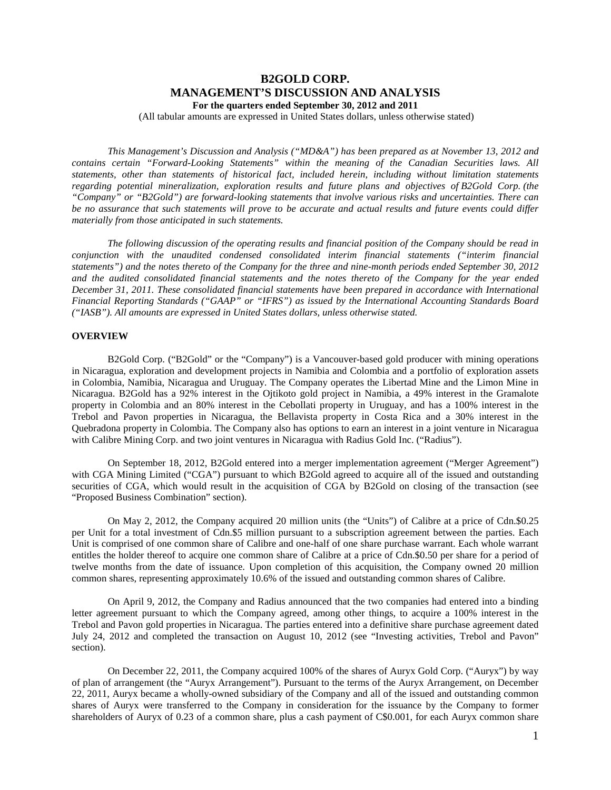# **B2GOLD CORP. MANAGEMENT'S DISCUSSION AND ANALYSIS For the quarters ended September 30, 2012 and 2011**

(All tabular amounts are expressed in United States dollars, unless otherwise stated)

*This Management's Discussion and Analysis ("MD&A") has been prepared as at November 13, 2012 and contains certain "Forward-Looking Statements" within the meaning of the Canadian Securities laws. All statements, other than statements of historical fact, included herein, including without limitation statements regarding potential mineralization, exploration results and future plans and objectives of B2Gold Corp. (the "Company" or "B2Gold") are forward-looking statements that involve various risks and uncertainties. There can be no assurance that such statements will prove to be accurate and actual results and future events could differ materially from those anticipated in such statements.*

*The following discussion of the operating results and financial position of the Company should be read in conjunction with the unaudited condensed consolidated interim financial statements ("interim financial statements") and the notes thereto of the Company for the three and nine-month periods ended September 30, 2012 and the audited consolidated financial statements and the notes thereto of the Company for the year ended December 31, 2011. These consolidated financial statements have been prepared in accordance with International Financial Reporting Standards ("GAAP" or "IFRS") as issued by the International Accounting Standards Board ("IASB"). All amounts are expressed in United States dollars, unless otherwise stated.*

## **OVERVIEW**

B2Gold Corp. ("B2Gold" or the "Company") is a Vancouver-based gold producer with mining operations in Nicaragua, exploration and development projects in Namibia and Colombia and a portfolio of exploration assets in Colombia, Namibia, Nicaragua and Uruguay. The Company operates the Libertad Mine and the Limon Mine in Nicaragua. B2Gold has a 92% interest in the Ojtikoto gold project in Namibia, a 49% interest in the Gramalote property in Colombia and an 80% interest in the Cebollati property in Uruguay, and has a 100% interest in the Trebol and Pavon properties in Nicaragua, the Bellavista property in Costa Rica and a 30% interest in the Quebradona property in Colombia. The Company also has options to earn an interest in a joint venture in Nicaragua with Calibre Mining Corp. and two joint ventures in Nicaragua with Radius Gold Inc. ("Radius").

On September 18, 2012, B2Gold entered into a merger implementation agreement ("Merger Agreement") with CGA Mining Limited ("CGA") pursuant to which B2Gold agreed to acquire all of the issued and outstanding securities of CGA, which would result in the acquisition of CGA by B2Gold on closing of the transaction (see "Proposed Business Combination" section).

On May 2, 2012, the Company acquired 20 million units (the "Units") of Calibre at a price of Cdn.\$0.25 per Unit for a total investment of Cdn.\$5 million pursuant to a subscription agreement between the parties. Each Unit is comprised of one common share of Calibre and one-half of one share purchase warrant. Each whole warrant entitles the holder thereof to acquire one common share of Calibre at a price of Cdn.\$0.50 per share for a period of twelve months from the date of issuance. Upon completion of this acquisition, the Company owned 20 million common shares, representing approximately 10.6% of the issued and outstanding common shares of Calibre.

On April 9, 2012, the Company and Radius announced that the two companies had entered into a binding letter agreement pursuant to which the Company agreed, among other things, to acquire a 100% interest in the Trebol and Pavon gold properties in Nicaragua. The parties entered into a definitive share purchase agreement dated July 24, 2012 and completed the transaction on August 10, 2012 (see "Investing activities, Trebol and Pavon" section).

On December 22, 2011, the Company acquired 100% of the shares of Auryx Gold Corp. ("Auryx") by way of plan of arrangement (the "Auryx Arrangement"). Pursuant to the terms of the Auryx Arrangement, on December 22, 2011, Auryx became a wholly-owned subsidiary of the Company and all of the issued and outstanding common shares of Auryx were transferred to the Company in consideration for the issuance by the Company to former shareholders of Auryx of 0.23 of a common share, plus a cash payment of C\$0.001, for each Auryx common share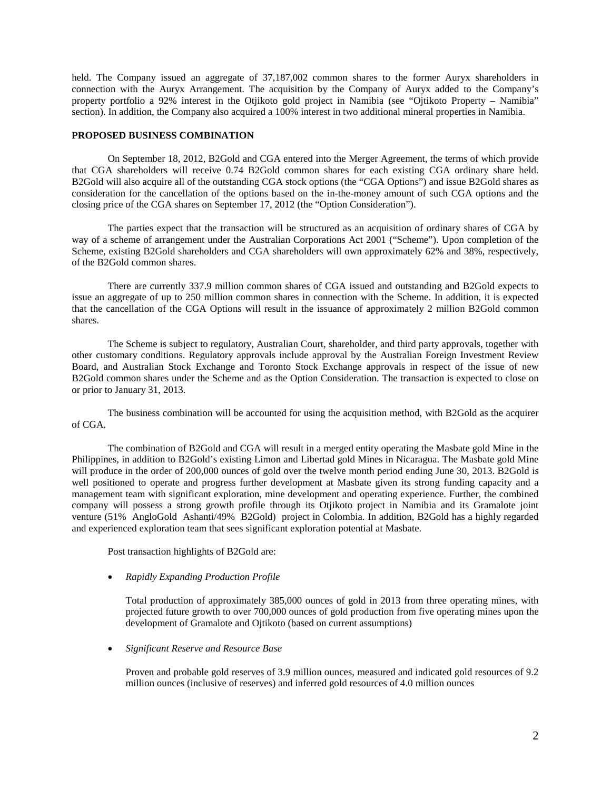held. The Company issued an aggregate of 37,187,002 common shares to the former Auryx shareholders in connection with the Auryx Arrangement. The acquisition by the Company of Auryx added to the Company's property portfolio a 92% interest in the Otjikoto gold project in Namibia (see "Ojtikoto Property – Namibia" section). In addition, the Company also acquired a 100% interest in two additional mineral properties in Namibia.

### **PROPOSED BUSINESS COMBINATION**

On September 18, 2012, B2Gold and CGA entered into the Merger Agreement, the terms of which provide that CGA shareholders will receive 0.74 B2Gold common shares for each existing CGA ordinary share held. B2Gold will also acquire all of the outstanding CGA stock options (the "CGA Options") and issue B2Gold shares as consideration for the cancellation of the options based on the in-the-money amount of such CGA options and the closing price of the CGA shares on September 17, 2012 (the "Option Consideration").

The parties expect that the transaction will be structured as an acquisition of ordinary shares of CGA by way of a scheme of arrangement under the Australian Corporations Act 2001 ("Scheme"). Upon completion of the Scheme, existing B2Gold shareholders and CGA shareholders will own approximately 62% and 38%, respectively, of the B2Gold common shares.

There are currently 337.9 million common shares of CGA issued and outstanding and B2Gold expects to issue an aggregate of up to 250 million common shares in connection with the Scheme. In addition, it is expected that the cancellation of the CGA Options will result in the issuance of approximately 2 million B2Gold common shares.

The Scheme is subject to regulatory, Australian Court, shareholder, and third party approvals, together with other customary conditions. Regulatory approvals include approval by the Australian Foreign Investment Review Board, and Australian Stock Exchange and Toronto Stock Exchange approvals in respect of the issue of new B2Gold common shares under the Scheme and as the Option Consideration. The transaction is expected to close on or prior to January 31, 2013.

The business combination will be accounted for using the acquisition method, with B2Gold as the acquirer of CGA.

The combination of B2Gold and CGA will result in a merged entity operating the Masbate gold Mine in the Philippines, in addition to B2Gold's existing Limon and Libertad gold Mines in Nicaragua. The Masbate gold Mine will produce in the order of 200,000 ounces of gold over the twelve month period ending June 30, 2013. B2Gold is well positioned to operate and progress further development at Masbate given its strong funding capacity and a management team with significant exploration, mine development and operating experience. Further, the combined company will possess a strong growth profile through its Otjikoto project in Namibia and its Gramalote joint venture (51% AngloGold Ashanti/49% B2Gold) project in Colombia. In addition, B2Gold has a highly regarded and experienced exploration team that sees significant exploration potential at Masbate.

Post transaction highlights of B2Gold are:

## • *Rapidly Expanding Production Profile*

Total production of approximately 385,000 ounces of gold in 2013 from three operating mines, with projected future growth to over 700,000 ounces of gold production from five operating mines upon the development of Gramalote and Ojtikoto (based on current assumptions)

## • *Significant Reserve and Resource Base*

Proven and probable gold reserves of 3.9 million ounces, measured and indicated gold resources of 9.2 million ounces (inclusive of reserves) and inferred gold resources of 4.0 million ounces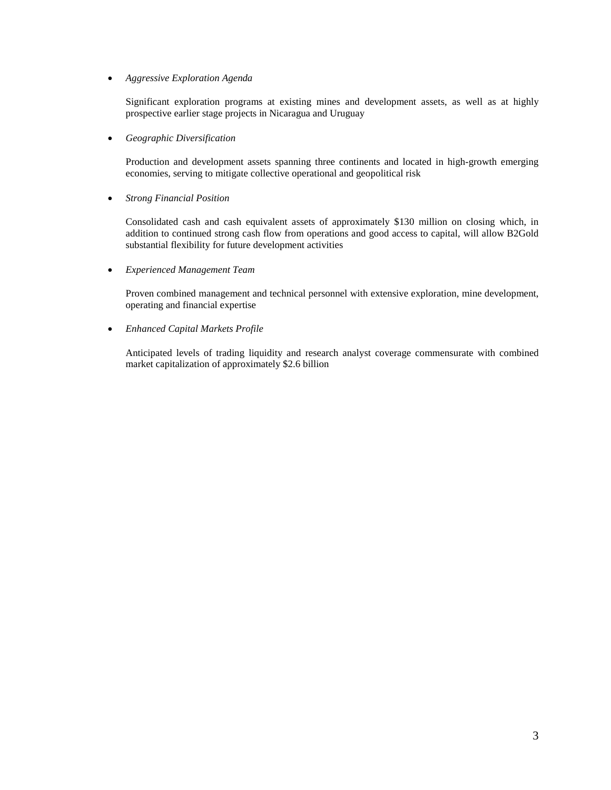• *Aggressive Exploration Agenda*

Significant exploration programs at existing mines and development assets, as well as at highly prospective earlier stage projects in Nicaragua and Uruguay

• *Geographic Diversification*

Production and development assets spanning three continents and located in high-growth emerging economies, serving to mitigate collective operational and geopolitical risk

• *Strong Financial Position*

Consolidated cash and cash equivalent assets of approximately \$130 million on closing which, in addition to continued strong cash flow from operations and good access to capital, will allow B2Gold substantial flexibility for future development activities

• *Experienced Management Team*

Proven combined management and technical personnel with extensive exploration, mine development, operating and financial expertise

• *Enhanced Capital Markets Profile*

Anticipated levels of trading liquidity and research analyst coverage commensurate with combined market capitalization of approximately \$2.6 billion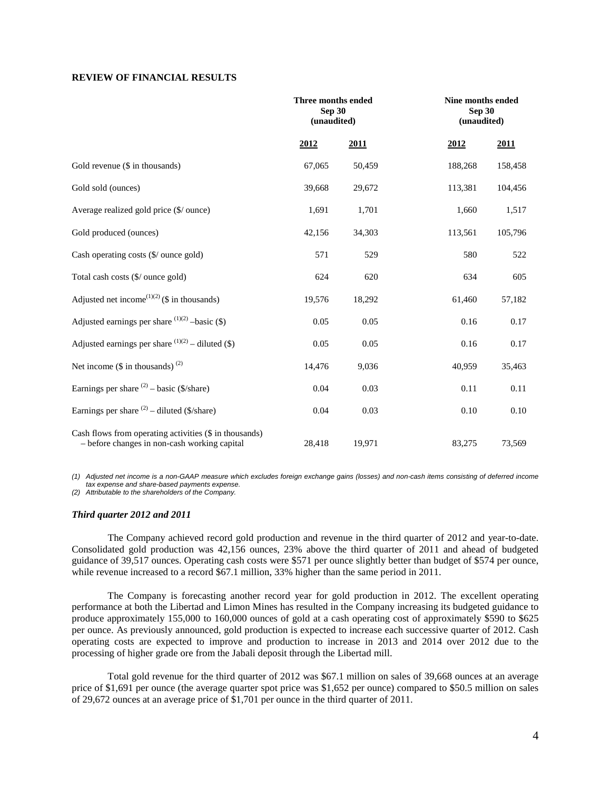# **REVIEW OF FINANCIAL RESULTS**

|                                                                                                        | Three months ended<br>Sep 30<br>(unaudited) |        |         | Nine months ended<br>Sep 30<br>(unaudited) |  |
|--------------------------------------------------------------------------------------------------------|---------------------------------------------|--------|---------|--------------------------------------------|--|
|                                                                                                        | 2012                                        | 2011   | 2012    | <u>2011</u>                                |  |
| Gold revenue (\$ in thousands)                                                                         | 67,065                                      | 50,459 | 188,268 | 158,458                                    |  |
| Gold sold (ounces)                                                                                     | 39,668                                      | 29,672 | 113,381 | 104,456                                    |  |
| Average realized gold price (\$/ ounce)                                                                | 1,691                                       | 1,701  | 1,660   | 1,517                                      |  |
| Gold produced (ounces)                                                                                 | 42,156                                      | 34,303 | 113,561 | 105,796                                    |  |
| Cash operating costs (\$/ ounce gold)                                                                  | 571                                         | 529    | 580     | 522                                        |  |
| Total cash costs (\$/ ounce gold)                                                                      | 624                                         | 620    | 634     | 605                                        |  |
| Adjusted net income <sup>(1)(2)</sup> (\$ in thousands)                                                | 19,576                                      | 18,292 | 61,460  | 57,182                                     |  |
| Adjusted earnings per share $^{(1)(2)}$ -basic (\$)                                                    | 0.05                                        | 0.05   | 0.16    | 0.17                                       |  |
| Adjusted earnings per share $(1)(2)$ – diluted (\$)                                                    | 0.05                                        | 0.05   | 0.16    | 0.17                                       |  |
| Net income $(\$$ in thousands) <sup>(2)</sup>                                                          | 14,476                                      | 9,036  | 40,959  | 35,463                                     |  |
| Earnings per share $(2)$ – basic (\$/share)                                                            | 0.04                                        | 0.03   | 0.11    | 0.11                                       |  |
| Earnings per share $(2)$ – diluted (\$/share)                                                          | 0.04                                        | 0.03   | 0.10    | $0.10\,$                                   |  |
| Cash flows from operating activities (\$ in thousands)<br>- before changes in non-cash working capital | 28,418                                      | 19,971 | 83,275  | 73,569                                     |  |

*(1) Adjusted net income is a non-GAAP measure which excludes foreign exchange gains (losses) and non-cash items consisting of deferred income tax expense and share-based payments expense.*

*(2) Attributable to the shareholders of the Company.*

#### *Third quarter 2012 and 2011*

The Company achieved record gold production and revenue in the third quarter of 2012 and year-to-date. Consolidated gold production was 42,156 ounces, 23% above the third quarter of 2011 and ahead of budgeted guidance of 39,517 ounces. Operating cash costs were \$571 per ounce slightly better than budget of \$574 per ounce, while revenue increased to a record \$67.1 million, 33% higher than the same period in 2011.

The Company is forecasting another record year for gold production in 2012. The excellent operating performance at both the Libertad and Limon Mines has resulted in the Company increasing its budgeted guidance to produce approximately 155,000 to 160,000 ounces of gold at a cash operating cost of approximately \$590 to \$625 per ounce. As previously announced, gold production is expected to increase each successive quarter of 2012. Cash operating costs are expected to improve and production to increase in 2013 and 2014 over 2012 due to the processing of higher grade ore from the Jabali deposit through the Libertad mill.

Total gold revenue for the third quarter of 2012 was \$67.1 million on sales of 39,668 ounces at an average price of \$1,691 per ounce (the average quarter spot price was \$1,652 per ounce) compared to \$50.5 million on sales of 29,672 ounces at an average price of \$1,701 per ounce in the third quarter of 2011.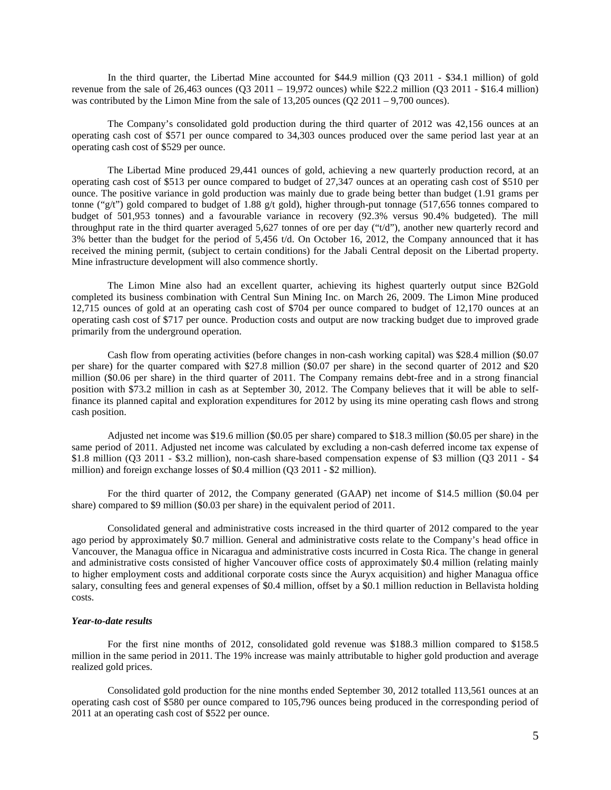In the third quarter, the Libertad Mine accounted for \$44.9 million (Q3 2011 - \$34.1 million) of gold revenue from the sale of 26,463 ounces (O3 2011 – 19,972 ounces) while \$22.2 million (O3 2011 - \$16.4 million) was contributed by the Limon Mine from the sale of  $13,205$  ounces  $(Q2 2011 - 9,700$  ounces).

The Company's consolidated gold production during the third quarter of 2012 was 42,156 ounces at an operating cash cost of \$571 per ounce compared to 34,303 ounces produced over the same period last year at an operating cash cost of \$529 per ounce.

The Libertad Mine produced 29,441 ounces of gold, achieving a new quarterly production record, at an operating cash cost of \$513 per ounce compared to budget of 27,347 ounces at an operating cash cost of \$510 per ounce. The positive variance in gold production was mainly due to grade being better than budget (1.91 grams per tonne ("g/t") gold compared to budget of 1.88 g/t gold), higher through-put tonnage (517,656 tonnes compared to budget of 501,953 tonnes) and a favourable variance in recovery (92.3% versus 90.4% budgeted). The mill throughput rate in the third quarter averaged 5,627 tonnes of ore per day ("t/d"), another new quarterly record and 3% better than the budget for the period of 5,456 t/d. On October 16, 2012, the Company announced that it has received the mining permit, (subject to certain conditions) for the Jabali Central deposit on the Libertad property. Mine infrastructure development will also commence shortly.

The Limon Mine also had an excellent quarter, achieving its highest quarterly output since B2Gold completed its business combination with Central Sun Mining Inc. on March 26, 2009. The Limon Mine produced 12,715 ounces of gold at an operating cash cost of \$704 per ounce compared to budget of 12,170 ounces at an operating cash cost of \$717 per ounce. Production costs and output are now tracking budget due to improved grade primarily from the underground operation.

Cash flow from operating activities (before changes in non-cash working capital) was \$28.4 million (\$0.07 per share) for the quarter compared with \$27.8 million (\$0.07 per share) in the second quarter of 2012 and \$20 million (\$0.06 per share) in the third quarter of 2011. The Company remains debt-free and in a strong financial position with \$73.2 million in cash as at September 30, 2012. The Company believes that it will be able to selffinance its planned capital and exploration expenditures for 2012 by using its mine operating cash flows and strong cash position.

Adjusted net income was \$19.6 million (\$0.05 per share) compared to \$18.3 million (\$0.05 per share) in the same period of 2011. Adjusted net income was calculated by excluding a non-cash deferred income tax expense of \$1.8 million (Q3 2011 - \$3.2 million), non-cash share-based compensation expense of \$3 million (Q3 2011 - \$4 million) and foreign exchange losses of \$0.4 million (Q3 2011 - \$2 million).

For the third quarter of 2012, the Company generated (GAAP) net income of \$14.5 million (\$0.04 per share) compared to \$9 million (\$0.03 per share) in the equivalent period of 2011.

Consolidated general and administrative costs increased in the third quarter of 2012 compared to the year ago period by approximately \$0.7 million. General and administrative costs relate to the Company's head office in Vancouver, the Managua office in Nicaragua and administrative costs incurred in Costa Rica. The change in general and administrative costs consisted of higher Vancouver office costs of approximately \$0.4 million (relating mainly to higher employment costs and additional corporate costs since the Auryx acquisition) and higher Managua office salary, consulting fees and general expenses of \$0.4 million, offset by a \$0.1 million reduction in Bellavista holding costs.

#### *Year-to-date results*

For the first nine months of 2012, consolidated gold revenue was \$188.3 million compared to \$158.5 million in the same period in 2011. The 19% increase was mainly attributable to higher gold production and average realized gold prices.

Consolidated gold production for the nine months ended September 30, 2012 totalled 113,561 ounces at an operating cash cost of \$580 per ounce compared to 105,796 ounces being produced in the corresponding period of 2011 at an operating cash cost of \$522 per ounce.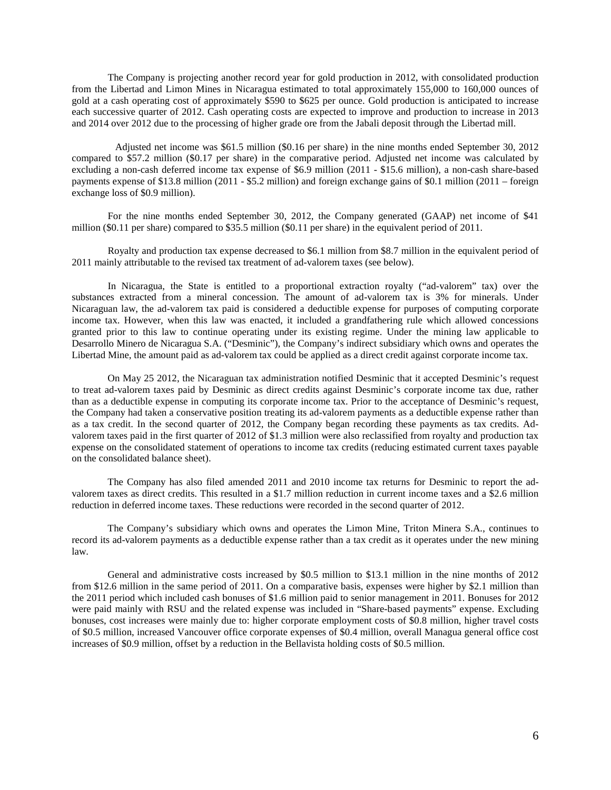The Company is projecting another record year for gold production in 2012, with consolidated production from the Libertad and Limon Mines in Nicaragua estimated to total approximately 155,000 to 160,000 ounces of gold at a cash operating cost of approximately \$590 to \$625 per ounce. Gold production is anticipated to increase each successive quarter of 2012. Cash operating costs are expected to improve and production to increase in 2013 and 2014 over 2012 due to the processing of higher grade ore from the Jabali deposit through the Libertad mill.

 Adjusted net income was \$61.5 million (\$0.16 per share) in the nine months ended September 30, 2012 compared to \$57.2 million (\$0.17 per share) in the comparative period. Adjusted net income was calculated by excluding a non-cash deferred income tax expense of \$6.9 million (2011 - \$15.6 million), a non-cash share-based payments expense of \$13.8 million (2011 - \$5.2 million) and foreign exchange gains of \$0.1 million (2011 – foreign exchange loss of \$0.9 million).

For the nine months ended September 30, 2012, the Company generated (GAAP) net income of \$41 million (\$0.11 per share) compared to \$35.5 million (\$0.11 per share) in the equivalent period of 2011.

Royalty and production tax expense decreased to \$6.1 million from \$8.7 million in the equivalent period of 2011 mainly attributable to the revised tax treatment of ad-valorem taxes (see below).

In Nicaragua, the State is entitled to a proportional extraction royalty ("ad-valorem" tax) over the substances extracted from a mineral concession. The amount of ad-valorem tax is 3% for minerals. Under Nicaraguan law, the ad-valorem tax paid is considered a deductible expense for purposes of computing corporate income tax. However, when this law was enacted, it included a grandfathering rule which allowed concessions granted prior to this law to continue operating under its existing regime. Under the mining law applicable to Desarrollo Minero de Nicaragua S.A. ("Desminic"), the Company's indirect subsidiary which owns and operates the Libertad Mine, the amount paid as ad-valorem tax could be applied as a direct credit against corporate income tax.

On May 25 2012, the Nicaraguan tax administration notified Desminic that it accepted Desminic's request to treat ad-valorem taxes paid by Desminic as direct credits against Desminic's corporate income tax due, rather than as a deductible expense in computing its corporate income tax. Prior to the acceptance of Desminic's request, the Company had taken a conservative position treating its ad-valorem payments as a deductible expense rather than as a tax credit. In the second quarter of 2012, the Company began recording these payments as tax credits. Advalorem taxes paid in the first quarter of 2012 of \$1.3 million were also reclassified from royalty and production tax expense on the consolidated statement of operations to income tax credits (reducing estimated current taxes payable on the consolidated balance sheet).

The Company has also filed amended 2011 and 2010 income tax returns for Desminic to report the advalorem taxes as direct credits. This resulted in a \$1.7 million reduction in current income taxes and a \$2.6 million reduction in deferred income taxes. These reductions were recorded in the second quarter of 2012.

The Company's subsidiary which owns and operates the Limon Mine, Triton Minera S.A., continues to record its ad-valorem payments as a deductible expense rather than a tax credit as it operates under the new mining law.

General and administrative costs increased by \$0.5 million to \$13.1 million in the nine months of 2012 from \$12.6 million in the same period of 2011. On a comparative basis, expenses were higher by \$2.1 million than the 2011 period which included cash bonuses of \$1.6 million paid to senior management in 2011. Bonuses for 2012 were paid mainly with RSU and the related expense was included in "Share-based payments" expense. Excluding bonuses, cost increases were mainly due to: higher corporate employment costs of \$0.8 million, higher travel costs of \$0.5 million, increased Vancouver office corporate expenses of \$0.4 million, overall Managua general office cost increases of \$0.9 million, offset by a reduction in the Bellavista holding costs of \$0.5 million.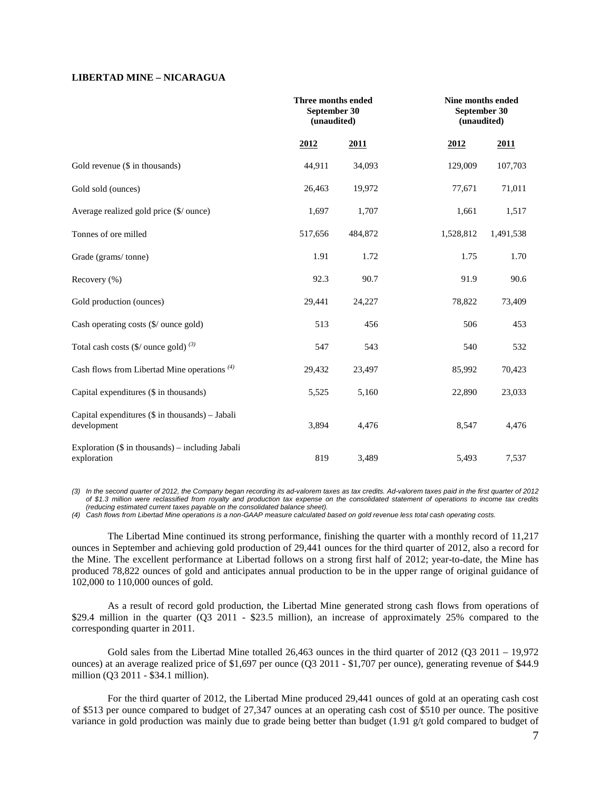## **LIBERTAD MINE – NICARAGUA**

|                                                                   | Three months ended<br>September 30<br>(unaudited) |         |           | Nine months ended<br>September 30<br>(unaudited) |  |  |
|-------------------------------------------------------------------|---------------------------------------------------|---------|-----------|--------------------------------------------------|--|--|
|                                                                   | 2012                                              | 2011    | 2012      | 2011                                             |  |  |
| Gold revenue (\$ in thousands)                                    | 44,911                                            | 34,093  | 129,009   | 107,703                                          |  |  |
| Gold sold (ounces)                                                | 26,463                                            | 19,972  | 77,671    | 71,011                                           |  |  |
| Average realized gold price (\$/ ounce)                           | 1,697                                             | 1,707   | 1,661     | 1,517                                            |  |  |
| Tonnes of ore milled                                              | 517,656                                           | 484,872 | 1,528,812 | 1,491,538                                        |  |  |
| Grade (grams/tonne)                                               | 1.91                                              | 1.72    | 1.75      | 1.70                                             |  |  |
| Recovery (%)                                                      | 92.3                                              | 90.7    | 91.9      | 90.6                                             |  |  |
| Gold production (ounces)                                          | 29,441                                            | 24,227  | 78,822    | 73,409                                           |  |  |
| Cash operating costs (\$/ ounce gold)                             | 513                                               | 456     | 506       | 453                                              |  |  |
| Total cash costs $(\frac{6}{2})$ ounce gold) $^{(3)}$             | 547                                               | 543     | 540       | 532                                              |  |  |
| Cash flows from Libertad Mine operations $(4)$                    | 29,432                                            | 23,497  | 85,992    | 70,423                                           |  |  |
| Capital expenditures (\$ in thousands)                            | 5,525                                             | 5,160   | 22,890    | 23,033                                           |  |  |
| Capital expenditures $(\$$ in thousands) – Jabali<br>development  | 3,894                                             | 4,476   | 8,547     | 4,476                                            |  |  |
| Exploration $(\$$ in thousands) – including Jabali<br>exploration | 819                                               | 3,489   | 5,493     | 7,537                                            |  |  |

*(3) In the second quarter of 2012, the Company began recording its ad-valorem taxes as tax credits. Ad-valorem taxes paid in the first quarter of 2012 of \$1.3 million were reclassified from royalty and production tax expense on the consolidated statement of operations to income tax credits (reducing estimated current taxes payable on the consolidated balance sheet).* 

*(4) Cash flows from Libertad Mine operations is a non-GAAP measure calculated based on gold revenue less total cash operating costs.*

The Libertad Mine continued its strong performance, finishing the quarter with a monthly record of 11,217 ounces in September and achieving gold production of 29,441 ounces for the third quarter of 2012, also a record for the Mine. The excellent performance at Libertad follows on a strong first half of 2012; year-to-date, the Mine has produced 78,822 ounces of gold and anticipates annual production to be in the upper range of original guidance of 102,000 to 110,000 ounces of gold.

As a result of record gold production, the Libertad Mine generated strong cash flows from operations of \$29.4 million in the quarter (Q3 2011 - \$23.5 million), an increase of approximately 25% compared to the corresponding quarter in 2011.

Gold sales from the Libertad Mine totalled 26,463 ounces in the third quarter of 2012 (Q3 2011 – 19,972 ounces) at an average realized price of \$1,697 per ounce (Q3 2011 - \$1,707 per ounce), generating revenue of \$44.9 million (Q3 2011 - \$34.1 million).

For the third quarter of 2012, the Libertad Mine produced 29,441 ounces of gold at an operating cash cost of \$513 per ounce compared to budget of 27,347 ounces at an operating cash cost of \$510 per ounce. The positive variance in gold production was mainly due to grade being better than budget (1.91 g/t gold compared to budget of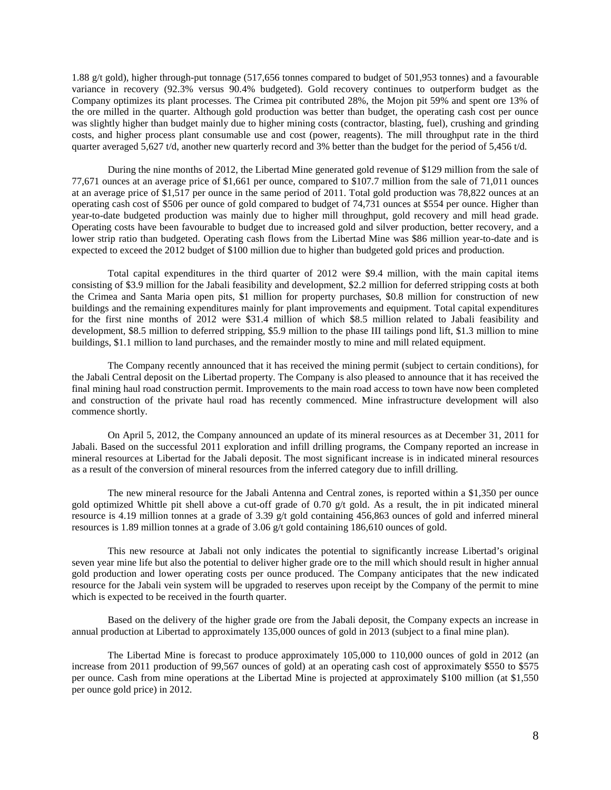1.88 g/t gold), higher through-put tonnage (517,656 tonnes compared to budget of 501,953 tonnes) and a favourable variance in recovery (92.3% versus 90.4% budgeted). Gold recovery continues to outperform budget as the Company optimizes its plant processes. The Crimea pit contributed 28%, the Mojon pit 59% and spent ore 13% of the ore milled in the quarter. Although gold production was better than budget, the operating cash cost per ounce was slightly higher than budget mainly due to higher mining costs (contractor, blasting, fuel), crushing and grinding costs, and higher process plant consumable use and cost (power, reagents). The mill throughput rate in the third quarter averaged 5,627 t/d, another new quarterly record and 3% better than the budget for the period of 5,456 t/d.

During the nine months of 2012, the Libertad Mine generated gold revenue of \$129 million from the sale of 77,671 ounces at an average price of \$1,661 per ounce, compared to \$107.7 million from the sale of 71,011 ounces at an average price of \$1,517 per ounce in the same period of 2011. Total gold production was 78,822 ounces at an operating cash cost of \$506 per ounce of gold compared to budget of 74,731 ounces at \$554 per ounce. Higher than year-to-date budgeted production was mainly due to higher mill throughput, gold recovery and mill head grade. Operating costs have been favourable to budget due to increased gold and silver production, better recovery, and a lower strip ratio than budgeted. Operating cash flows from the Libertad Mine was \$86 million year-to-date and is expected to exceed the 2012 budget of \$100 million due to higher than budgeted gold prices and production.

Total capital expenditures in the third quarter of 2012 were \$9.4 million, with the main capital items consisting of \$3.9 million for the Jabali feasibility and development, \$2.2 million for deferred stripping costs at both the Crimea and Santa Maria open pits, \$1 million for property purchases, \$0.8 million for construction of new buildings and the remaining expenditures mainly for plant improvements and equipment. Total capital expenditures for the first nine months of 2012 were \$31.4 million of which \$8.5 million related to Jabali feasibility and development, \$8.5 million to deferred stripping, \$5.9 million to the phase III tailings pond lift, \$1.3 million to mine buildings, \$1.1 million to land purchases, and the remainder mostly to mine and mill related equipment.

The Company recently announced that it has received the mining permit (subject to certain conditions), for the Jabali Central deposit on the Libertad property. The Company is also pleased to announce that it has received the final mining haul road construction permit. Improvements to the main road access to town have now been completed and construction of the private haul road has recently commenced. Mine infrastructure development will also commence shortly.

On April 5, 2012, the Company announced an update of its mineral resources as at December 31, 2011 for Jabali. Based on the successful 2011 exploration and infill drilling programs, the Company reported an increase in mineral resources at Libertad for the Jabali deposit. The most significant increase is in indicated mineral resources as a result of the conversion of mineral resources from the inferred category due to infill drilling.

The new mineral resource for the Jabali Antenna and Central zones, is reported within a \$1,350 per ounce gold optimized Whittle pit shell above a cut-off grade of 0.70  $g/t$  gold. As a result, the in pit indicated mineral resource is 4.19 million tonnes at a grade of 3.39 g/t gold containing 456,863 ounces of gold and inferred mineral resources is 1.89 million tonnes at a grade of 3.06 g/t gold containing 186,610 ounces of gold.

This new resource at Jabali not only indicates the potential to significantly increase Libertad's original seven year mine life but also the potential to deliver higher grade ore to the mill which should result in higher annual gold production and lower operating costs per ounce produced. The Company anticipates that the new indicated resource for the Jabali vein system will be upgraded to reserves upon receipt by the Company of the permit to mine which is expected to be received in the fourth quarter.

Based on the delivery of the higher grade ore from the Jabali deposit, the Company expects an increase in annual production at Libertad to approximately 135,000 ounces of gold in 2013 (subject to a final mine plan).

The Libertad Mine is forecast to produce approximately 105,000 to 110,000 ounces of gold in 2012 (an increase from 2011 production of 99,567 ounces of gold) at an operating cash cost of approximately \$550 to \$575 per ounce. Cash from mine operations at the Libertad Mine is projected at approximately \$100 million (at \$1,550 per ounce gold price) in 2012.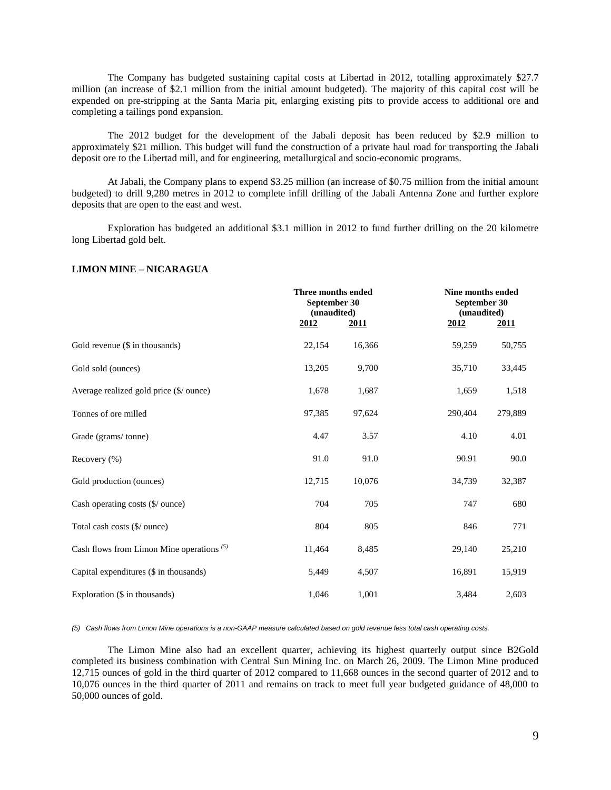The Company has budgeted sustaining capital costs at Libertad in 2012, totalling approximately \$27.7 million (an increase of \$2.1 million from the initial amount budgeted). The majority of this capital cost will be expended on pre-stripping at the Santa Maria pit, enlarging existing pits to provide access to additional ore and completing a tailings pond expansion.

The 2012 budget for the development of the Jabali deposit has been reduced by \$2.9 million to approximately \$21 million. This budget will fund the construction of a private haul road for transporting the Jabali deposit ore to the Libertad mill, and for engineering, metallurgical and socio-economic programs.

At Jabali, the Company plans to expend \$3.25 million (an increase of \$0.75 million from the initial amount budgeted) to drill 9,280 metres in 2012 to complete infill drilling of the Jabali Antenna Zone and further explore deposits that are open to the east and west.

Exploration has budgeted an additional \$3.1 million in 2012 to fund further drilling on the 20 kilometre long Libertad gold belt.

## **LIMON MINE – NICARAGUA**

|                                             |             | Three months ended<br>September 30<br>(unaudited) |         | Nine months ended<br>September 30<br>(unaudited) |  |
|---------------------------------------------|-------------|---------------------------------------------------|---------|--------------------------------------------------|--|
|                                             | <u>2012</u> | <b>2011</b>                                       | 2012    | <b>2011</b>                                      |  |
| Gold revenue (\$ in thousands)              | 22,154      | 16,366                                            | 59,259  | 50,755                                           |  |
| Gold sold (ounces)                          | 13,205      | 9,700                                             | 35,710  | 33,445                                           |  |
| Average realized gold price (\$/ ounce)     | 1,678       | 1,687                                             | 1,659   | 1,518                                            |  |
| Tonnes of ore milled                        | 97,385      | 97,624                                            | 290,404 | 279,889                                          |  |
| Grade (grams/tonne)                         | 4.47        | 3.57                                              | 4.10    | 4.01                                             |  |
| Recovery (%)                                | 91.0        | 91.0                                              | 90.91   | 90.0                                             |  |
| Gold production (ounces)                    | 12,715      | 10,076                                            | 34,739  | 32,387                                           |  |
| Cash operating costs (\$/ ounce)            | 704         | 705                                               | 747     | 680                                              |  |
| Total cash costs (\$/ ounce)                | 804         | 805                                               | 846     | 771                                              |  |
| Cash flows from Limon Mine operations $(5)$ | 11,464      | 8,485                                             | 29,140  | 25,210                                           |  |
| Capital expenditures (\$ in thousands)      | 5,449       | 4,507                                             | 16,891  | 15,919                                           |  |
| Exploration (\$ in thousands)               | 1,046       | 1,001                                             | 3,484   | 2,603                                            |  |

*(5) Cash flows from Limon Mine operations is a non-GAAP measure calculated based on gold revenue less total cash operating costs.* 

The Limon Mine also had an excellent quarter, achieving its highest quarterly output since B2Gold completed its business combination with Central Sun Mining Inc. on March 26, 2009. The Limon Mine produced 12,715 ounces of gold in the third quarter of 2012 compared to 11,668 ounces in the second quarter of 2012 and to 10,076 ounces in the third quarter of 2011 and remains on track to meet full year budgeted guidance of 48,000 to 50,000 ounces of gold.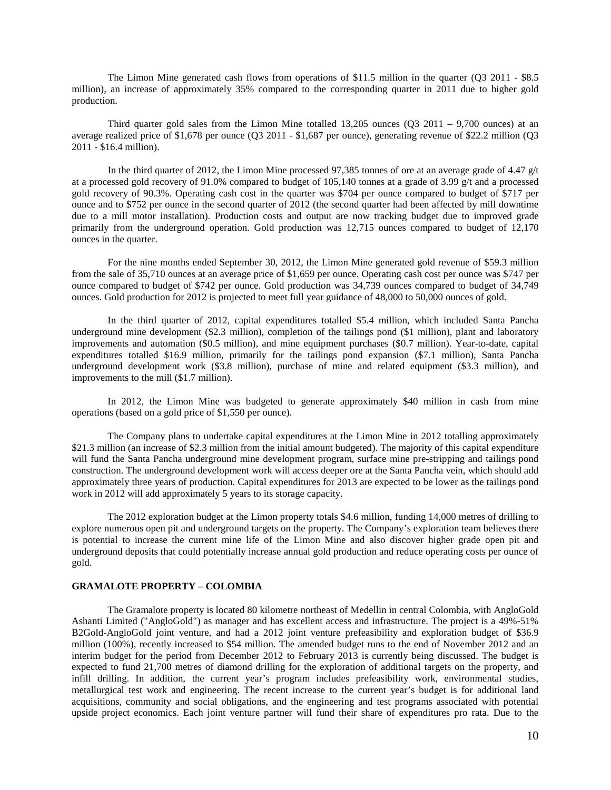The Limon Mine generated cash flows from operations of \$11.5 million in the quarter (Q3 2011 - \$8.5 million), an increase of approximately 35% compared to the corresponding quarter in 2011 due to higher gold production.

Third quarter gold sales from the Limon Mine totalled 13,205 ounces (Q3 2011 – 9,700 ounces) at an average realized price of \$1,678 per ounce (Q3 2011 - \$1,687 per ounce), generating revenue of \$22.2 million (Q3 2011 - \$16.4 million).

In the third quarter of 2012, the Limon Mine processed 97,385 tonnes of ore at an average grade of 4.47 g/t at a processed gold recovery of 91.0% compared to budget of 105,140 tonnes at a grade of 3.99  $g/t$  and a processed gold recovery of 90.3%. Operating cash cost in the quarter was \$704 per ounce compared to budget of \$717 per ounce and to \$752 per ounce in the second quarter of 2012 (the second quarter had been affected by mill downtime due to a mill motor installation). Production costs and output are now tracking budget due to improved grade primarily from the underground operation. Gold production was 12,715 ounces compared to budget of 12,170 ounces in the quarter.

For the nine months ended September 30, 2012, the Limon Mine generated gold revenue of \$59.3 million from the sale of 35,710 ounces at an average price of \$1,659 per ounce. Operating cash cost per ounce was \$747 per ounce compared to budget of \$742 per ounce. Gold production was 34,739 ounces compared to budget of 34,749 ounces. Gold production for 2012 is projected to meet full year guidance of 48,000 to 50,000 ounces of gold.

In the third quarter of 2012, capital expenditures totalled \$5.4 million, which included Santa Pancha underground mine development (\$2.3 million), completion of the tailings pond (\$1 million), plant and laboratory improvements and automation (\$0.5 million), and mine equipment purchases (\$0.7 million). Year-to-date, capital expenditures totalled \$16.9 million, primarily for the tailings pond expansion (\$7.1 million), Santa Pancha underground development work (\$3.8 million), purchase of mine and related equipment (\$3.3 million), and improvements to the mill (\$1.7 million).

In 2012, the Limon Mine was budgeted to generate approximately \$40 million in cash from mine operations (based on a gold price of \$1,550 per ounce).

The Company plans to undertake capital expenditures at the Limon Mine in 2012 totalling approximately \$21.3 million (an increase of \$2.3 million from the initial amount budgeted). The majority of this capital expenditure will fund the Santa Pancha underground mine development program, surface mine pre-stripping and tailings pond construction. The underground development work will access deeper ore at the Santa Pancha vein, which should add approximately three years of production. Capital expenditures for 2013 are expected to be lower as the tailings pond work in 2012 will add approximately 5 years to its storage capacity.

The 2012 exploration budget at the Limon property totals \$4.6 million, funding 14,000 metres of drilling to explore numerous open pit and underground targets on the property. The Company's exploration team believes there is potential to increase the current mine life of the Limon Mine and also discover higher grade open pit and underground deposits that could potentially increase annual gold production and reduce operating costs per ounce of gold.

### **GRAMALOTE PROPERTY – COLOMBIA**

The Gramalote property is located 80 kilometre northeast of Medellin in central Colombia, with AngloGold Ashanti Limited ("AngloGold") as manager and has excellent access and infrastructure. The project is a 49%-51% B2Gold-AngloGold joint venture, and had a 2012 joint venture prefeasibility and exploration budget of \$36.9 million (100%), recently increased to \$54 million. The amended budget runs to the end of November 2012 and an interim budget for the period from December 2012 to February 2013 is currently being discussed. The budget is expected to fund 21,700 metres of diamond drilling for the exploration of additional targets on the property, and infill drilling. In addition, the current year's program includes prefeasibility work, environmental studies, metallurgical test work and engineering. The recent increase to the current year's budget is for additional land acquisitions, community and social obligations, and the engineering and test programs associated with potential upside project economics. Each joint venture partner will fund their share of expenditures pro rata. Due to the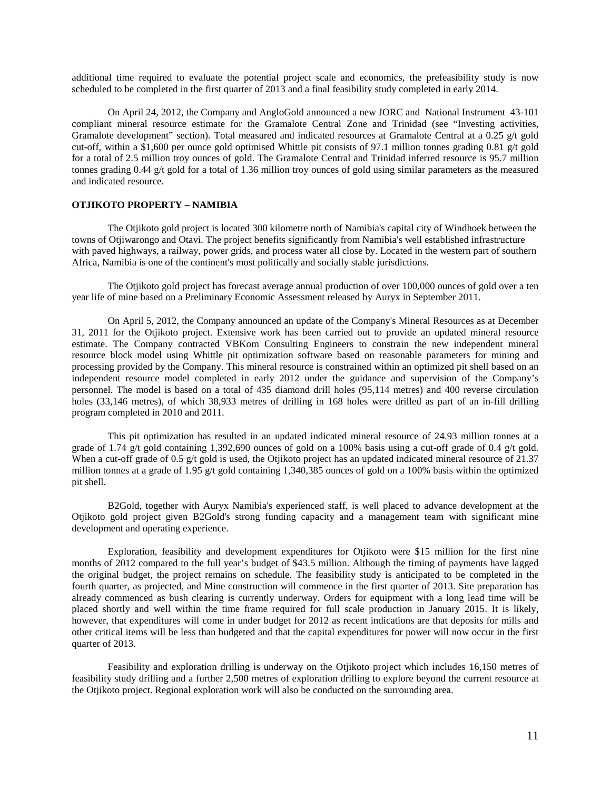additional time required to evaluate the potential project scale and economics, the prefeasibility study is now scheduled to be completed in the first quarter of 2013 and a final feasibility study completed in early 2014.

On April 24, 2012, the Company and AngloGold announced a new JORC and National Instrument 43-101 compliant mineral resource estimate for the Gramalote Central Zone and Trinidad (see "Investing activities, Gramalote development" section). Total measured and indicated resources at Gramalote Central at a 0.25 g/t gold cut-off, within a \$1,600 per ounce gold optimised Whittle pit consists of 97.1 million tonnes grading 0.81 g/t gold for a total of 2.5 million troy ounces of gold. The Gramalote Central and Trinidad inferred resource is 95.7 million tonnes grading 0.44 g/t gold for a total of 1.36 million troy ounces of gold using similar parameters as the measured and indicated resource.

#### **OTJIKOTO PROPERTY – NAMIBIA**

The Otjikoto gold project is located 300 kilometre north of Namibia's capital city of Windhoek between the towns of Otjiwarongo and Otavi. The project benefits significantly from Namibia's well established infrastructure with paved highways, a railway, power grids, and process water all close by. Located in the western part of southern Africa, Namibia is one of the continent's most politically and socially stable jurisdictions.

The Otjikoto gold project has forecast average annual production of over 100,000 ounces of gold over a ten year life of mine based on a Preliminary Economic Assessment released by Auryx in September 2011.

On April 5, 2012, the Company announced an update of the Company's Mineral Resources as at December 31, 2011 for the Otjikoto project. Extensive work has been carried out to provide an updated mineral resource estimate. The Company contracted VBKom Consulting Engineers to constrain the new independent mineral resource block model using Whittle pit optimization software based on reasonable parameters for mining and processing provided by the Company. This mineral resource is constrained within an optimized pit shell based on an independent resource model completed in early 2012 under the guidance and supervision of the Company's personnel. The model is based on a total of 435 diamond drill holes (95,114 metres) and 400 reverse circulation holes (33,146 metres), of which 38,933 metres of drilling in 168 holes were drilled as part of an in-fill drilling program completed in 2010 and 2011.

This pit optimization has resulted in an updated indicated mineral resource of 24.93 million tonnes at a grade of 1.74 g/t gold containing 1,392,690 ounces of gold on a 100% basis using a cut-off grade of 0.4 g/t gold. When a cut-off grade of 0.5 g/t gold is used, the Otjikoto project has an updated indicated mineral resource of 21.37 million tonnes at a grade of 1.95 g/t gold containing 1,340,385 ounces of gold on a 100% basis within the optimized pit shell.

B2Gold, together with Auryx Namibia's experienced staff, is well placed to advance development at the Otjikoto gold project given B2Gold's strong funding capacity and a management team with significant mine development and operating experience.

Exploration, feasibility and development expenditures for Otjikoto were \$15 million for the first nine months of 2012 compared to the full year's budget of \$43.5 million. Although the timing of payments have lagged the original budget, the project remains on schedule. The feasibility study is anticipated to be completed in the fourth quarter, as projected, and Mine construction will commence in the first quarter of 2013. Site preparation has already commenced as bush clearing is currently underway. Orders for equipment with a long lead time will be placed shortly and well within the time frame required for full scale production in January 2015. It is likely, however, that expenditures will come in under budget for 2012 as recent indications are that deposits for mills and other critical items will be less than budgeted and that the capital expenditures for power will now occur in the first quarter of 2013.

Feasibility and exploration drilling is underway on the Otjikoto project which includes 16,150 metres of feasibility study drilling and a further 2,500 metres of exploration drilling to explore beyond the current resource at the Otjikoto project. Regional exploration work will also be conducted on the surrounding area.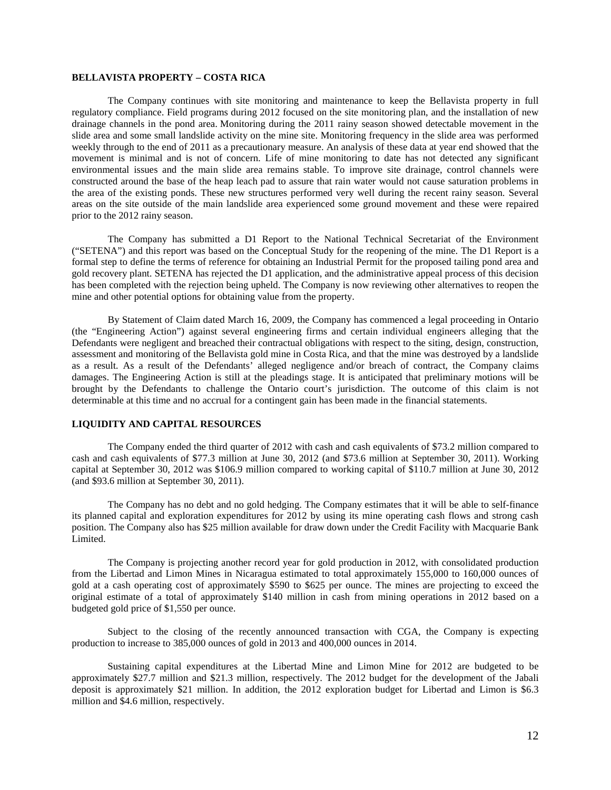## **BELLAVISTA PROPERTY – COSTA RICA**

The Company continues with site monitoring and maintenance to keep the Bellavista property in full regulatory compliance. Field programs during 2012 focused on the site monitoring plan, and the installation of new drainage channels in the pond area. Monitoring during the 2011 rainy season showed detectable movement in the slide area and some small landslide activity on the mine site. Monitoring frequency in the slide area was performed weekly through to the end of 2011 as a precautionary measure. An analysis of these data at year end showed that the movement is minimal and is not of concern. Life of mine monitoring to date has not detected any significant environmental issues and the main slide area remains stable. To improve site drainage, control channels were constructed around the base of the heap leach pad to assure that rain water would not cause saturation problems in the area of the existing ponds. These new structures performed very well during the recent rainy season. Several areas on the site outside of the main landslide area experienced some ground movement and these were repaired prior to the 2012 rainy season.

The Company has submitted a D1 Report to the National Technical Secretariat of the Environment ("SETENA") and this report was based on the Conceptual Study for the reopening of the mine. The D1 Report is a formal step to define the terms of reference for obtaining an Industrial Permit for the proposed tailing pond area and gold recovery plant. SETENA has rejected the D1 application, and the administrative appeal process of this decision has been completed with the rejection being upheld. The Company is now reviewing other alternatives to reopen the mine and other potential options for obtaining value from the property.

By Statement of Claim dated March 16, 2009, the Company has commenced a legal proceeding in Ontario (the "Engineering Action") against several engineering firms and certain individual engineers alleging that the Defendants were negligent and breached their contractual obligations with respect to the siting, design, construction, assessment and monitoring of the Bellavista gold mine in Costa Rica, and that the mine was destroyed by a landslide as a result. As a result of the Defendants' alleged negligence and/or breach of contract, the Company claims damages. The Engineering Action is still at the pleadings stage. It is anticipated that preliminary motions will be brought by the Defendants to challenge the Ontario court's jurisdiction. The outcome of this claim is not determinable at this time and no accrual for a contingent gain has been made in the financial statements.

## **LIQUIDITY AND CAPITAL RESOURCES**

The Company ended the third quarter of 2012 with cash and cash equivalents of \$73.2 million compared to cash and cash equivalents of \$77.3 million at June 30, 2012 (and \$73.6 million at September 30, 2011). Working capital at September 30, 2012 was \$106.9 million compared to working capital of \$110.7 million at June 30, 2012 (and \$93.6 million at September 30, 2011).

The Company has no debt and no gold hedging. The Company estimates that it will be able to self-finance its planned capital and exploration expenditures for 2012 by using its mine operating cash flows and strong cash position. The Company also has \$25 million available for draw down under the Credit Facility with Macquarie Bank Limited.

The Company is projecting another record year for gold production in 2012, with consolidated production from the Libertad and Limon Mines in Nicaragua estimated to total approximately 155,000 to 160,000 ounces of gold at a cash operating cost of approximately \$590 to \$625 per ounce. The mines are projecting to exceed the original estimate of a total of approximately \$140 million in cash from mining operations in 2012 based on a budgeted gold price of \$1,550 per ounce.

Subject to the closing of the recently announced transaction with CGA, the Company is expecting production to increase to 385,000 ounces of gold in 2013 and 400,000 ounces in 2014.

Sustaining capital expenditures at the Libertad Mine and Limon Mine for 2012 are budgeted to be approximately \$27.7 million and \$21.3 million, respectively. The 2012 budget for the development of the Jabali deposit is approximately \$21 million. In addition, the 2012 exploration budget for Libertad and Limon is \$6.3 million and \$4.6 million, respectively.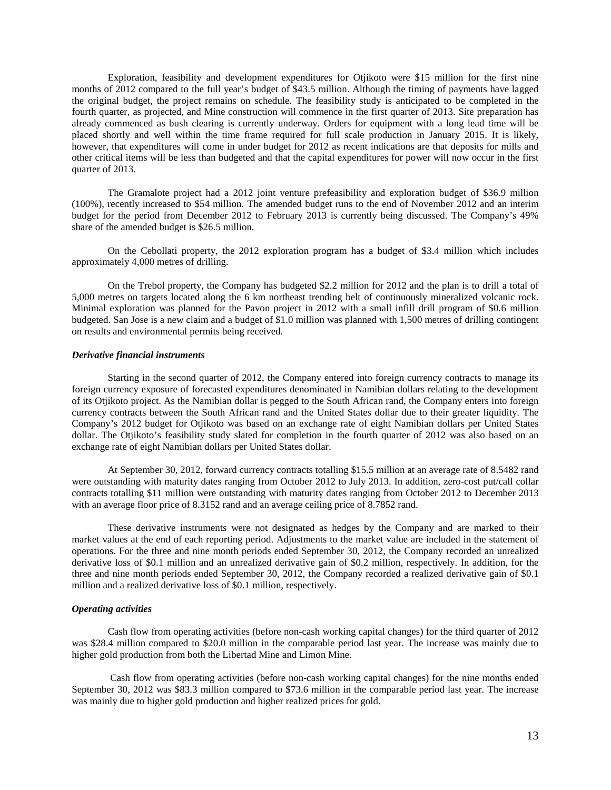Exploration, feasibility and development expenditures for Otjikoto were \$15 million for the first nine months of 2012 compared to the full year's budget of \$43.5 million. Although the timing of payments have lagged the original budget, the project remains on schedule. The feasibility study is anticipated to be completed in the fourth quarter, as projected, and Mine construction will commence in the first quarter of 2013. Site preparation has already commenced as bush clearing is currently underway. Orders for equipment with a long lead time will be placed shortly and well within the time frame required for full scale production in January 2015. It is likely, however, that expenditures will come in under budget for 2012 as recent indications are that deposits for mills and other critical items will be less than budgeted and that the capital expenditures for power will now occur in the first quarter of 2013.

The Gramalote project had a 2012 joint venture prefeasibility and exploration budget of \$36.9 million (100%), recently increased to \$54 million. The amended budget runs to the end of November 2012 and an interim budget for the period from December 2012 to February 2013 is currently being discussed. The Company's 49% share of the amended budget is \$26.5 million.

On the Cebollati property, the 2012 exploration program has a budget of \$3.4 million which includes approximately 4,000 metres of drilling.

On the Trebol property, the Company has budgeted \$2.2 million for 2012 and the plan is to drill a total of 5,000 metres on targets located along the 6 km northeast trending belt of continuously mineralized volcanic rock. Minimal exploration was planned for the Pavon project in 2012 with a small infill drill program of \$0.6 million budgeted. San Jose is a new claim and a budget of \$1.0 million was planned with 1,500 metres of drilling contingent on results and environmental permits being received.

#### *Derivative financial instruments*

Starting in the second quarter of 2012, the Company entered into foreign currency contracts to manage its foreign currency exposure of forecasted expenditures denominated in Namibian dollars relating to the development of its Otjikoto project. As the Namibian dollar is pegged to the South African rand, the Company enters into foreign currency contracts between the South African rand and the United States dollar due to their greater liquidity. The Company's 2012 budget for Otjikoto was based on an exchange rate of eight Namibian dollars per United States dollar. The Otjikoto's feasibility study slated for completion in the fourth quarter of 2012 was also based on an exchange rate of eight Namibian dollars per United States dollar.

At September 30, 2012, forward currency contracts totalling \$15.5 million at an average rate of 8.5482 rand were outstanding with maturity dates ranging from October 2012 to July 2013. In addition, zero-cost put/call collar contracts totalling \$11 million were outstanding with maturity dates ranging from October 2012 to December 2013 with an average floor price of 8.3152 rand and an average ceiling price of 8.7852 rand.

These derivative instruments were not designated as hedges by the Company and are marked to their market values at the end of each reporting period. Adjustments to the market value are included in the statement of operations. For the three and nine month periods ended September 30, 2012, the Company recorded an unrealized derivative loss of \$0.1 million and an unrealized derivative gain of \$0.2 million, respectively. In addition, for the three and nine month periods ended September 30, 2012, the Company recorded a realized derivative gain of \$0.1 million and a realized derivative loss of \$0.1 million, respectively.

## *Operating activities*

Cash flow from operating activities (before non-cash working capital changes) for the third quarter of 2012 was \$28.4 million compared to \$20.0 million in the comparable period last year. The increase was mainly due to higher gold production from both the Libertad Mine and Limon Mine.

Cash flow from operating activities (before non-cash working capital changes) for the nine months ended September 30, 2012 was \$83.3 million compared to \$73.6 million in the comparable period last year. The increase was mainly due to higher gold production and higher realized prices for gold.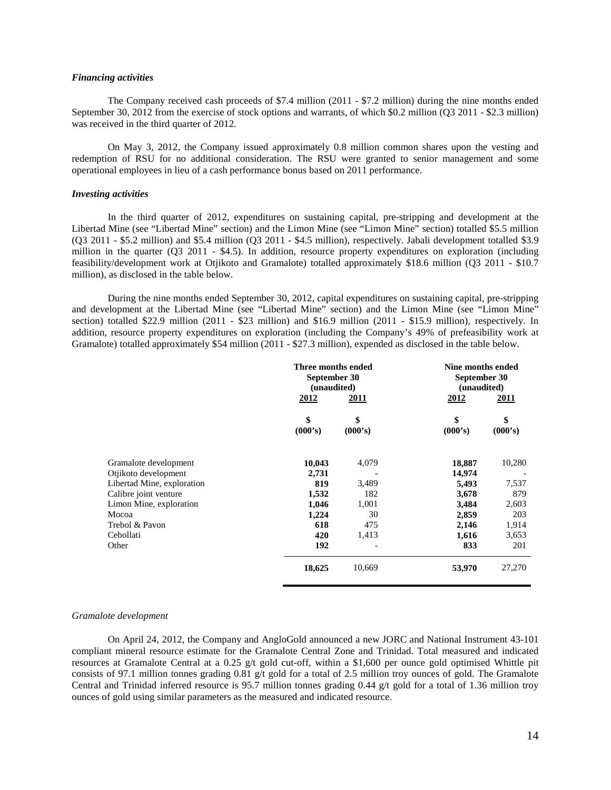## *Financing activities*

The Company received cash proceeds of \$7.4 million (2011 - \$7.2 million) during the nine months ended September 30, 2012 from the exercise of stock options and warrants, of which \$0.2 million (Q3 2011 - \$2.3 million) was received in the third quarter of 2012.

On May 3, 2012, the Company issued approximately 0.8 million common shares upon the vesting and redemption of RSU for no additional consideration. The RSU were granted to senior management and some operational employees in lieu of a cash performance bonus based on 2011 performance.

### *Investing activities*

In the third quarter of 2012, expenditures on sustaining capital, pre-stripping and development at the Libertad Mine (see "Libertad Mine" section) and the Limon Mine (see "Limon Mine" section) totalled \$5.5 million (Q3 2011 - \$5.2 million) and \$5.4 million (Q3 2011 - \$4.5 million), respectively. Jabali development totalled \$3.9 million in the quarter (Q3 2011 - \$4.5). In addition, resource property expenditures on exploration (including feasibility/development work at Otjikoto and Gramalote) totalled approximately \$18.6 million (Q3 2011 - \$10.7 million), as disclosed in the table below.

During the nine months ended September 30, 2012, capital expenditures on sustaining capital, pre-stripping and development at the Libertad Mine (see "Libertad Mine" section) and the Limon Mine (see "Limon Mine" section) totalled \$22.9 million (2011 - \$23 million) and \$16.9 million (2011 - \$15.9 million), respectively. In addition, resource property expenditures on exploration (including the Company's 49% of prefeasibility work at Gramalote) totalled approximately \$54 million (2011 - \$27.3 million), expended as disclosed in the table below.

|                            | Three months ended<br>September 30<br>(unaudited) |               | Nine months ended<br>September 30<br>(unaudited) |               |
|----------------------------|---------------------------------------------------|---------------|--------------------------------------------------|---------------|
|                            | 2012                                              | 2011          | 2012                                             | <u> 2011</u>  |
|                            | \$<br>(000's)                                     | \$<br>(000's) | \$<br>(000's)                                    | \$<br>(000's) |
| Gramalote development      | 10,043                                            | 4,079         | 18,887                                           | 10,280        |
| Otjikoto development       | 2,731                                             |               | 14,974                                           |               |
| Libertad Mine, exploration | 819                                               | 3,489         | 5,493                                            | 7,537         |
| Calibre joint venture      | 1,532                                             | 182           | 3,678                                            | 879           |
| Limon Mine, exploration    | 1,046                                             | 1,001         | 3,484                                            | 2,603         |
| Mocoa                      | 1,224                                             | 30            | 2,859                                            | 203           |
| Trebol & Pavon             | 618                                               | 475           | 2,146                                            | 1,914         |
| Cebollati                  | 420                                               | 1,413         | 1,616                                            | 3,653         |
| Other                      | 192                                               |               | 833                                              | 201           |
|                            | 18,625                                            | 10,669        | 53,970                                           | 27,270        |

#### *Gramalote development*

On April 24, 2012, the Company and AngloGold announced a new JORC and National Instrument 43-101 compliant mineral resource estimate for the Gramalote Central Zone and Trinidad. Total measured and indicated resources at Gramalote Central at a 0.25 g/t gold cut-off, within a \$1,600 per ounce gold optimised Whittle pit consists of 97.1 million tonnes grading 0.81 g/t gold for a total of 2.5 million troy ounces of gold. The Gramalote Central and Trinidad inferred resource is 95.7 million tonnes grading 0.44 g/t gold for a total of 1.36 million troy ounces of gold using similar parameters as the measured and indicated resource.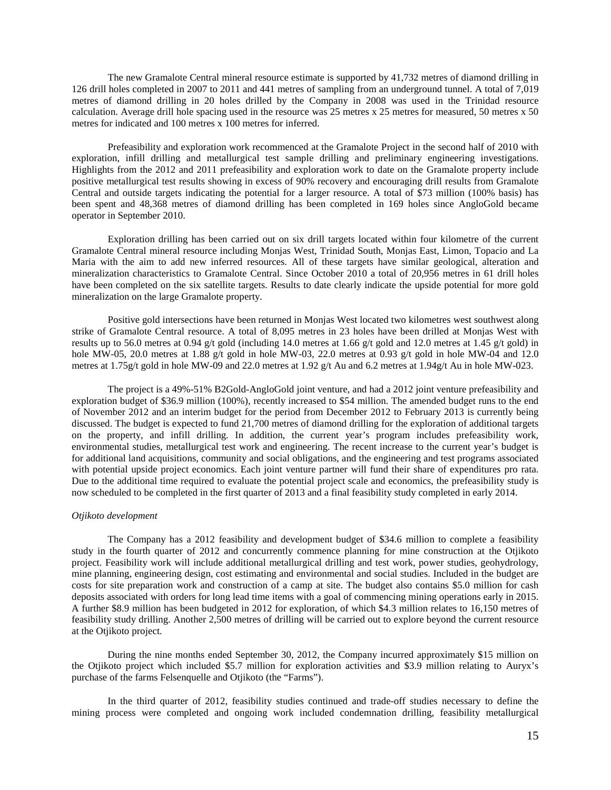The new Gramalote Central mineral resource estimate is supported by 41,732 metres of diamond drilling in 126 drill holes completed in 2007 to 2011 and 441 metres of sampling from an underground tunnel. A total of 7,019 metres of diamond drilling in 20 holes drilled by the Company in 2008 was used in the Trinidad resource calculation. Average drill hole spacing used in the resource was 25 metres x 25 metres for measured, 50 metres x 50 metres for indicated and 100 metres x 100 metres for inferred.

Prefeasibility and exploration work recommenced at the Gramalote Project in the second half of 2010 with exploration, infill drilling and metallurgical test sample drilling and preliminary engineering investigations. Highlights from the 2012 and 2011 prefeasibility and exploration work to date on the Gramalote property include positive metallurgical test results showing in excess of 90% recovery and encouraging drill results from Gramalote Central and outside targets indicating the potential for a larger resource. A total of \$73 million (100% basis) has been spent and 48,368 metres of diamond drilling has been completed in 169 holes since AngloGold became operator in September 2010.

Exploration drilling has been carried out on six drill targets located within four kilometre of the current Gramalote Central mineral resource including Monjas West, Trinidad South, Monjas East, Limon, Topacio and La Maria with the aim to add new inferred resources. All of these targets have similar geological, alteration and mineralization characteristics to Gramalote Central. Since October 2010 a total of 20,956 metres in 61 drill holes have been completed on the six satellite targets. Results to date clearly indicate the upside potential for more gold mineralization on the large Gramalote property.

Positive gold intersections have been returned in Monjas West located two kilometres west southwest along strike of Gramalote Central resource. A total of 8,095 metres in 23 holes have been drilled at Monjas West with results up to 56.0 metres at 0.94 g/t gold (including 14.0 metres at 1.66 g/t gold and 12.0 metres at 1.45 g/t gold) in hole MW-05, 20.0 metres at 1.88 g/t gold in hole MW-03, 22.0 metres at 0.93 g/t gold in hole MW-04 and 12.0 metres at 1.75g/t gold in hole MW-09 and 22.0 metres at 1.92 g/t Au and 6.2 metres at 1.94g/t Au in hole MW-023.

The project is a 49%-51% B2Gold-AngloGold joint venture, and had a 2012 joint venture prefeasibility and exploration budget of \$36.9 million (100%), recently increased to \$54 million. The amended budget runs to the end of November 2012 and an interim budget for the period from December 2012 to February 2013 is currently being discussed. The budget is expected to fund 21,700 metres of diamond drilling for the exploration of additional targets on the property, and infill drilling. In addition, the current year's program includes prefeasibility work, environmental studies, metallurgical test work and engineering. The recent increase to the current year's budget is for additional land acquisitions, community and social obligations, and the engineering and test programs associated with potential upside project economics. Each joint venture partner will fund their share of expenditures pro rata. Due to the additional time required to evaluate the potential project scale and economics, the prefeasibility study is now scheduled to be completed in the first quarter of 2013 and a final feasibility study completed in early 2014.

#### *Otjikoto development*

The Company has a 2012 feasibility and development budget of \$34.6 million to complete a feasibility study in the fourth quarter of 2012 and concurrently commence planning for mine construction at the Otjikoto project. Feasibility work will include additional metallurgical drilling and test work, power studies, geohydrology, mine planning, engineering design, cost estimating and environmental and social studies. Included in the budget are costs for site preparation work and construction of a camp at site. The budget also contains \$5.0 million for cash deposits associated with orders for long lead time items with a goal of commencing mining operations early in 2015. A further \$8.9 million has been budgeted in 2012 for exploration, of which \$4.3 million relates to 16,150 metres of feasibility study drilling. Another 2,500 metres of drilling will be carried out to explore beyond the current resource at the Otjikoto project.

During the nine months ended September 30, 2012, the Company incurred approximately \$15 million on the Otjikoto project which included \$5.7 million for exploration activities and \$3.9 million relating to Auryx's purchase of the farms Felsenquelle and Otjikoto (the "Farms").

In the third quarter of 2012, feasibility studies continued and trade-off studies necessary to define the mining process were completed and ongoing work included condemnation drilling, feasibility metallurgical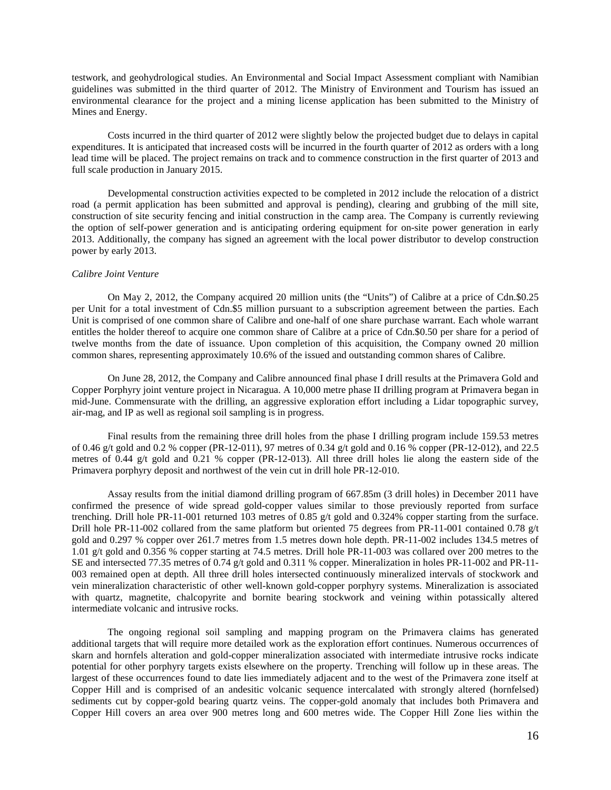testwork, and geohydrological studies. An Environmental and Social Impact Assessment compliant with Namibian guidelines was submitted in the third quarter of 2012. The Ministry of Environment and Tourism has issued an environmental clearance for the project and a mining license application has been submitted to the Ministry of Mines and Energy.

Costs incurred in the third quarter of 2012 were slightly below the projected budget due to delays in capital expenditures. It is anticipated that increased costs will be incurred in the fourth quarter of 2012 as orders with a long lead time will be placed. The project remains on track and to commence construction in the first quarter of 2013 and full scale production in January 2015.

Developmental construction activities expected to be completed in 2012 include the relocation of a district road (a permit application has been submitted and approval is pending), clearing and grubbing of the mill site, construction of site security fencing and initial construction in the camp area. The Company is currently reviewing the option of self-power generation and is anticipating ordering equipment for on-site power generation in early 2013. Additionally, the company has signed an agreement with the local power distributor to develop construction power by early 2013.

## *Calibre Joint Venture*

On May 2, 2012, the Company acquired 20 million units (the "Units") of Calibre at a price of Cdn.\$0.25 per Unit for a total investment of Cdn.\$5 million pursuant to a subscription agreement between the parties. Each Unit is comprised of one common share of Calibre and one-half of one share purchase warrant. Each whole warrant entitles the holder thereof to acquire one common share of Calibre at a price of Cdn.\$0.50 per share for a period of twelve months from the date of issuance. Upon completion of this acquisition, the Company owned 20 million common shares, representing approximately 10.6% of the issued and outstanding common shares of Calibre.

On June 28, 2012, the Company and Calibre announced final phase I drill results at the Primavera Gold and Copper Porphyry joint venture project in Nicaragua. A 10,000 metre phase II drilling program at Primavera began in mid-June. Commensurate with the drilling, an aggressive exploration effort including a Lidar topographic survey, air-mag, and IP as well as regional soil sampling is in progress.

Final results from the remaining three drill holes from the phase I drilling program include 159.53 metres of 0.46 g/t gold and 0.2 % copper (PR-12-011), 97 metres of 0.34 g/t gold and 0.16 % copper (PR-12-012), and 22.5 metres of 0.44 g/t gold and 0.21 % copper (PR-12-013). All three drill holes lie along the eastern side of the Primavera porphyry deposit and northwest of the vein cut in drill hole PR-12-010.

Assay results from the initial diamond drilling program of 667.85m (3 drill holes) in December 2011 have confirmed the presence of wide spread gold-copper values similar to those previously reported from surface trenching. Drill hole PR-11-001 returned 103 metres of 0.85 g/t gold and 0.324% copper starting from the surface. Drill hole PR-11-002 collared from the same platform but oriented 75 degrees from PR-11-001 contained 0.78 g/t gold and 0.297 % copper over 261.7 metres from 1.5 metres down hole depth. PR-11-002 includes 134.5 metres of 1.01 g/t gold and 0.356 % copper starting at 74.5 metres. Drill hole PR-11-003 was collared over 200 metres to the SE and intersected 77.35 metres of 0.74 g/t gold and 0.311 % copper. Mineralization in holes PR-11-002 and PR-11- 003 remained open at depth. All three drill holes intersected continuously mineralized intervals of stockwork and vein mineralization characteristic of other well-known gold-copper porphyry systems. Mineralization is associated with quartz, magnetite, chalcopyrite and bornite bearing stockwork and veining within potassically altered intermediate volcanic and intrusive rocks.

The ongoing regional soil sampling and mapping program on the Primavera claims has generated additional targets that will require more detailed work as the exploration effort continues. Numerous occurrences of skarn and hornfels alteration and gold-copper mineralization associated with intermediate intrusive rocks indicate potential for other porphyry targets exists elsewhere on the property. Trenching will follow up in these areas. The largest of these occurrences found to date lies immediately adjacent and to the west of the Primavera zone itself at Copper Hill and is comprised of an andesitic volcanic sequence intercalated with strongly altered (hornfelsed) sediments cut by copper-gold bearing quartz veins. The copper-gold anomaly that includes both Primavera and Copper Hill covers an area over 900 metres long and 600 metres wide. The Copper Hill Zone lies within the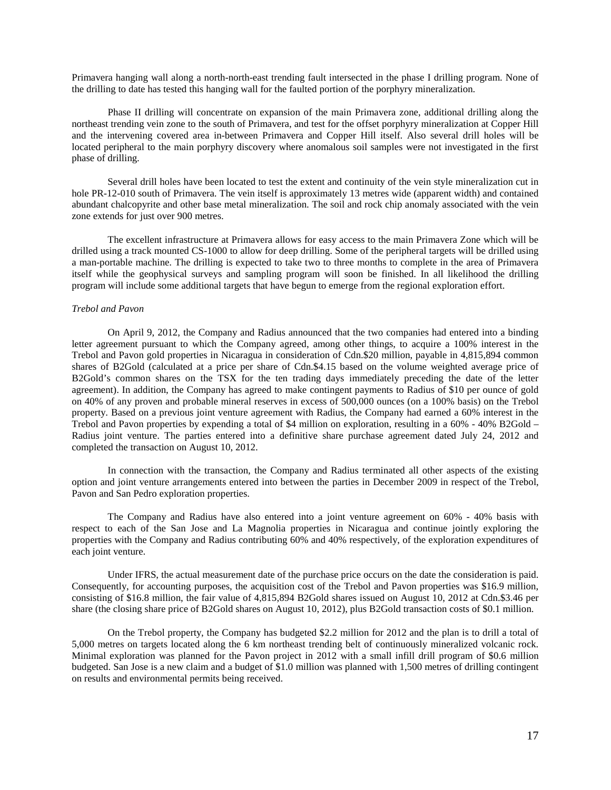Primavera hanging wall along a north-north-east trending fault intersected in the phase I drilling program. None of the drilling to date has tested this hanging wall for the faulted portion of the porphyry mineralization.

Phase II drilling will concentrate on expansion of the main Primavera zone, additional drilling along the northeast trending vein zone to the south of Primavera, and test for the offset porphyry mineralization at Copper Hill and the intervening covered area in-between Primavera and Copper Hill itself. Also several drill holes will be located peripheral to the main porphyry discovery where anomalous soil samples were not investigated in the first phase of drilling.

Several drill holes have been located to test the extent and continuity of the vein style mineralization cut in hole PR-12-010 south of Primavera. The vein itself is approximately 13 metres wide (apparent width) and contained abundant chalcopyrite and other base metal mineralization. The soil and rock chip anomaly associated with the vein zone extends for just over 900 metres.

The excellent infrastructure at Primavera allows for easy access to the main Primavera Zone which will be drilled using a track mounted CS-1000 to allow for deep drilling. Some of the peripheral targets will be drilled using a man-portable machine. The drilling is expected to take two to three months to complete in the area of Primavera itself while the geophysical surveys and sampling program will soon be finished. In all likelihood the drilling program will include some additional targets that have begun to emerge from the regional exploration effort.

### *Trebol and Pavon*

On April 9, 2012, the Company and Radius announced that the two companies had entered into a binding letter agreement pursuant to which the Company agreed, among other things, to acquire a 100% interest in the Trebol and Pavon gold properties in Nicaragua in consideration of Cdn.\$20 million, payable in 4,815,894 common shares of B2Gold (calculated at a price per share of Cdn.\$4.15 based on the volume weighted average price of B2Gold's common shares on the TSX for the ten trading days immediately preceding the date of the letter agreement). In addition, the Company has agreed to make contingent payments to Radius of \$10 per ounce of gold on 40% of any proven and probable mineral reserves in excess of 500,000 ounces (on a 100% basis) on the Trebol property. Based on a previous joint venture agreement with Radius, the Company had earned a 60% interest in the Trebol and Pavon properties by expending a total of \$4 million on exploration, resulting in a 60% - 40% B2Gold – Radius joint venture. The parties entered into a definitive share purchase agreement dated July 24, 2012 and completed the transaction on August 10, 2012.

In connection with the transaction, the Company and Radius terminated all other aspects of the existing option and joint venture arrangements entered into between the parties in December 2009 in respect of the Trebol, Pavon and San Pedro exploration properties.

The Company and Radius have also entered into a joint venture agreement on 60% - 40% basis with respect to each of the San Jose and La Magnolia properties in Nicaragua and continue jointly exploring the properties with the Company and Radius contributing 60% and 40% respectively, of the exploration expenditures of each joint venture.

Under IFRS, the actual measurement date of the purchase price occurs on the date the consideration is paid. Consequently, for accounting purposes, the acquisition cost of the Trebol and Pavon properties was \$16.9 million, consisting of \$16.8 million, the fair value of 4,815,894 B2Gold shares issued on August 10, 2012 at Cdn.\$3.46 per share (the closing share price of B2Gold shares on August 10, 2012), plus B2Gold transaction costs of \$0.1 million.

On the Trebol property, the Company has budgeted \$2.2 million for 2012 and the plan is to drill a total of 5,000 metres on targets located along the 6 km northeast trending belt of continuously mineralized volcanic rock. Minimal exploration was planned for the Pavon project in 2012 with a small infill drill program of \$0.6 million budgeted. San Jose is a new claim and a budget of \$1.0 million was planned with 1,500 metres of drilling contingent on results and environmental permits being received.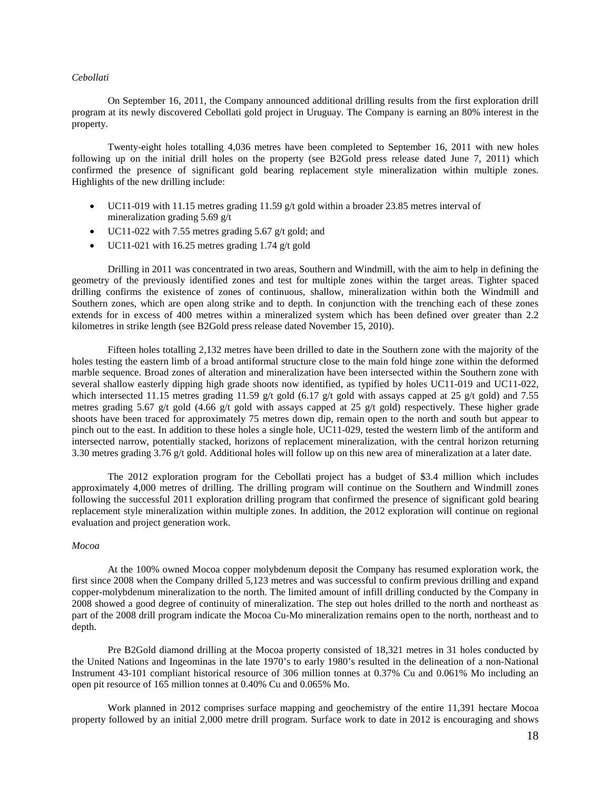## *Cebollati*

On September 16, 2011, the Company announced additional drilling results from the first exploration drill program at its newly discovered Cebollati gold project in Uruguay. The Company is earning an 80% interest in the property.

Twenty-eight holes totalling 4,036 metres have been completed to September 16, 2011 with new holes following up on the initial drill holes on the property (see B2Gold press release dated June 7, 2011) which confirmed the presence of significant gold bearing replacement style mineralization within multiple zones. Highlights of the new drilling include:

- UC11-019 with 11.15 metres grading 11.59 g/t gold within a broader 23.85 metres interval of mineralization grading 5.69 g/t
- UC11-022 with 7.55 metres grading 5.67 g/t gold; and
- UC11-021 with 16.25 metres grading 1.74 g/t gold

Drilling in 2011 was concentrated in two areas, Southern and Windmill, with the aim to help in defining the geometry of the previously identified zones and test for multiple zones within the target areas. Tighter spaced drilling confirms the existence of zones of continuous, shallow, mineralization within both the Windmill and Southern zones, which are open along strike and to depth. In conjunction with the trenching each of these zones extends for in excess of 400 metres within a mineralized system which has been defined over greater than 2.2 kilometres in strike length (see B2Gold press release dated November 15, 2010).

Fifteen holes totalling 2,132 metres have been drilled to date in the Southern zone with the majority of the holes testing the eastern limb of a broad antiformal structure close to the main fold hinge zone within the deformed marble sequence. Broad zones of alteration and mineralization have been intersected within the Southern zone with several shallow easterly dipping high grade shoots now identified, as typified by holes UC11-019 and UC11-022, which intersected 11.15 metres grading 11.59 g/t gold (6.17 g/t gold with assays capped at 25 g/t gold) and 7.55 metres grading 5.67 g/t gold (4.66 g/t gold with assays capped at 25 g/t gold) respectively. These higher grade shoots have been traced for approximately 75 metres down dip, remain open to the north and south but appear to pinch out to the east. In addition to these holes a single hole, UC11-029, tested the western limb of the antiform and intersected narrow, potentially stacked, horizons of replacement mineralization, with the central horizon returning 3.30 metres grading 3.76 g/t gold. Additional holes will follow up on this new area of mineralization at a later date.

The 2012 exploration program for the Cebollati project has a budget of \$3.4 million which includes approximately 4,000 metres of drilling. The drilling program will continue on the Southern and Windmill zones following the successful 2011 exploration drilling program that confirmed the presence of significant gold bearing replacement style mineralization within multiple zones. In addition, the 2012 exploration will continue on regional evaluation and project generation work.

## *Mocoa*

At the 100% owned Mocoa copper molybdenum deposit the Company has resumed exploration work, the first since 2008 when the Company drilled 5,123 metres and was successful to confirm previous drilling and expand copper-molybdenum mineralization to the north. The limited amount of infill drilling conducted by the Company in 2008 showed a good degree of continuity of mineralization. The step out holes drilled to the north and northeast as part of the 2008 drill program indicate the Mocoa Cu-Mo mineralization remains open to the north, northeast and to depth.

Pre B2Gold diamond drilling at the Mocoa property consisted of 18,321 metres in 31 holes conducted by the United Nations and Ingeominas in the late 1970's to early 1980's resulted in the delineation of a non-National Instrument 43-101 compliant historical resource of 306 million tonnes at 0.37% Cu and 0.061% Mo including an open pit resource of 165 million tonnes at 0.40% Cu and 0.065% Mo.

Work planned in 2012 comprises surface mapping and geochemistry of the entire 11,391 hectare Mocoa property followed by an initial 2,000 metre drill program. Surface work to date in 2012 is encouraging and shows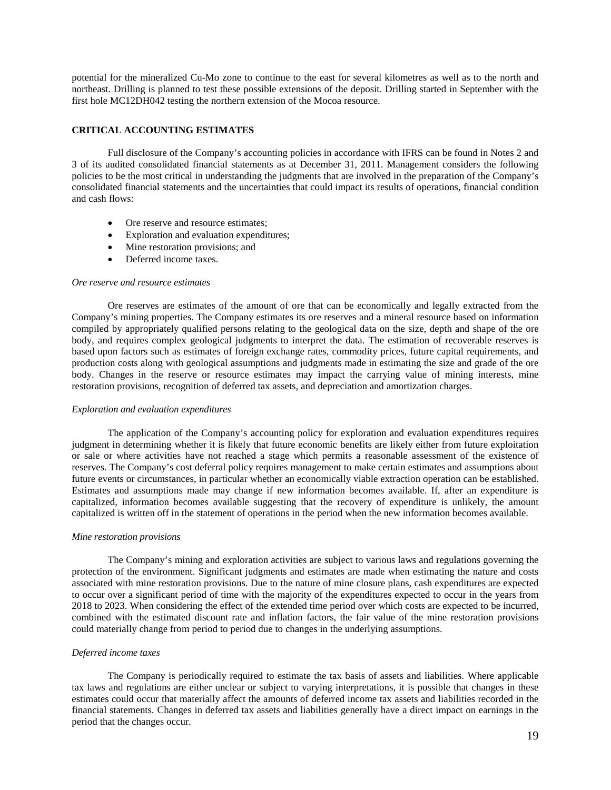potential for the mineralized Cu-Mo zone to continue to the east for several kilometres as well as to the north and northeast. Drilling is planned to test these possible extensions of the deposit. Drilling started in September with the first hole MC12DH042 testing the northern extension of the Mocoa resource.

## **CRITICAL ACCOUNTING ESTIMATES**

Full disclosure of the Company's accounting policies in accordance with IFRS can be found in Notes 2 and 3 of its audited consolidated financial statements as at December 31, 2011. Management considers the following policies to be the most critical in understanding the judgments that are involved in the preparation of the Company's consolidated financial statements and the uncertainties that could impact its results of operations, financial condition and cash flows:

- Ore reserve and resource estimates;
- Exploration and evaluation expenditures;
- Mine restoration provisions; and
- Deferred income taxes.

#### *Ore reserve and resource estimates*

Ore reserves are estimates of the amount of ore that can be economically and legally extracted from the Company's mining properties. The Company estimates its ore reserves and a mineral resource based on information compiled by appropriately qualified persons relating to the geological data on the size, depth and shape of the ore body, and requires complex geological judgments to interpret the data. The estimation of recoverable reserves is based upon factors such as estimates of foreign exchange rates, commodity prices, future capital requirements, and production costs along with geological assumptions and judgments made in estimating the size and grade of the ore body. Changes in the reserve or resource estimates may impact the carrying value of mining interests, mine restoration provisions, recognition of deferred tax assets, and depreciation and amortization charges.

#### *Exploration and evaluation expenditures*

The application of the Company's accounting policy for exploration and evaluation expenditures requires judgment in determining whether it is likely that future economic benefits are likely either from future exploitation or sale or where activities have not reached a stage which permits a reasonable assessment of the existence of reserves. The Company's cost deferral policy requires management to make certain estimates and assumptions about future events or circumstances, in particular whether an economically viable extraction operation can be established. Estimates and assumptions made may change if new information becomes available. If, after an expenditure is capitalized, information becomes available suggesting that the recovery of expenditure is unlikely, the amount capitalized is written off in the statement of operations in the period when the new information becomes available.

#### *Mine restoration provisions*

The Company's mining and exploration activities are subject to various laws and regulations governing the protection of the environment. Significant judgments and estimates are made when estimating the nature and costs associated with mine restoration provisions. Due to the nature of mine closure plans, cash expenditures are expected to occur over a significant period of time with the majority of the expenditures expected to occur in the years from 2018 to 2023. When considering the effect of the extended time period over which costs are expected to be incurred, combined with the estimated discount rate and inflation factors, the fair value of the mine restoration provisions could materially change from period to period due to changes in the underlying assumptions.

## *Deferred income taxes*

The Company is periodically required to estimate the tax basis of assets and liabilities. Where applicable tax laws and regulations are either unclear or subject to varying interpretations, it is possible that changes in these estimates could occur that materially affect the amounts of deferred income tax assets and liabilities recorded in the financial statements. Changes in deferred tax assets and liabilities generally have a direct impact on earnings in the period that the changes occur.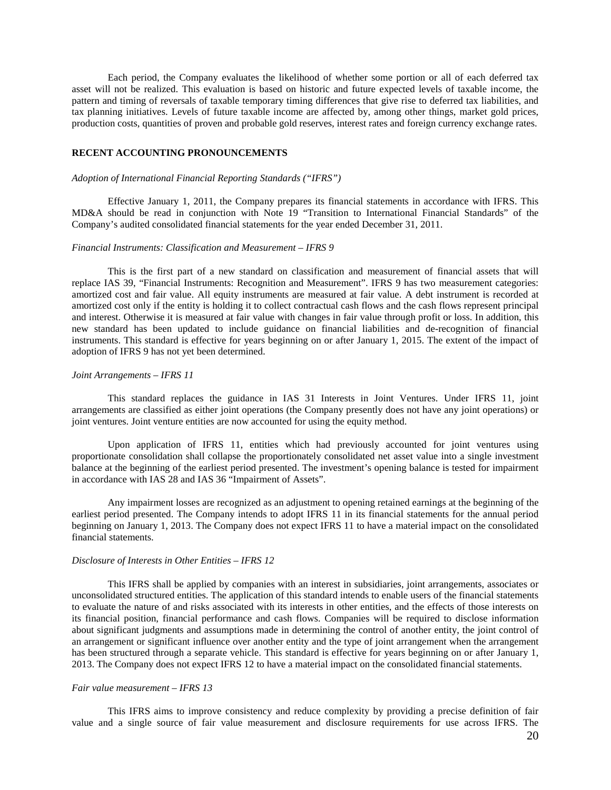Each period, the Company evaluates the likelihood of whether some portion or all of each deferred tax asset will not be realized. This evaluation is based on historic and future expected levels of taxable income, the pattern and timing of reversals of taxable temporary timing differences that give rise to deferred tax liabilities, and tax planning initiatives. Levels of future taxable income are affected by, among other things, market gold prices, production costs, quantities of proven and probable gold reserves, interest rates and foreign currency exchange rates.

### **RECENT ACCOUNTING PRONOUNCEMENTS**

### *Adoption of International Financial Reporting Standards ("IFRS")*

Effective January 1, 2011, the Company prepares its financial statements in accordance with IFRS. This MD&A should be read in conjunction with Note 19 "Transition to International Financial Standards" of the Company's audited consolidated financial statements for the year ended December 31, 2011.

### *Financial Instruments: Classification and Measurement – IFRS 9*

This is the first part of a new standard on classification and measurement of financial assets that will replace IAS 39, "Financial Instruments: Recognition and Measurement". IFRS 9 has two measurement categories: amortized cost and fair value. All equity instruments are measured at fair value. A debt instrument is recorded at amortized cost only if the entity is holding it to collect contractual cash flows and the cash flows represent principal and interest. Otherwise it is measured at fair value with changes in fair value through profit or loss. In addition, this new standard has been updated to include guidance on financial liabilities and de-recognition of financial instruments. This standard is effective for years beginning on or after January 1, 2015. The extent of the impact of adoption of IFRS 9 has not yet been determined.

#### *Joint Arrangements – IFRS 11*

This standard replaces the guidance in IAS 31 Interests in Joint Ventures. Under IFRS 11, joint arrangements are classified as either joint operations (the Company presently does not have any joint operations) or joint ventures. Joint venture entities are now accounted for using the equity method.

Upon application of IFRS 11, entities which had previously accounted for joint ventures using proportionate consolidation shall collapse the proportionately consolidated net asset value into a single investment balance at the beginning of the earliest period presented. The investment's opening balance is tested for impairment in accordance with IAS 28 and IAS 36 "Impairment of Assets".

Any impairment losses are recognized as an adjustment to opening retained earnings at the beginning of the earliest period presented. The Company intends to adopt IFRS 11 in its financial statements for the annual period beginning on January 1, 2013. The Company does not expect IFRS 11 to have a material impact on the consolidated financial statements.

#### *Disclosure of Interests in Other Entities – IFRS 12*

This IFRS shall be applied by companies with an interest in subsidiaries, joint arrangements, associates or unconsolidated structured entities. The application of this standard intends to enable users of the financial statements to evaluate the nature of and risks associated with its interests in other entities, and the effects of those interests on its financial position, financial performance and cash flows. Companies will be required to disclose information about significant judgments and assumptions made in determining the control of another entity, the joint control of an arrangement or significant influence over another entity and the type of joint arrangement when the arrangement has been structured through a separate vehicle. This standard is effective for years beginning on or after January 1, 2013. The Company does not expect IFRS 12 to have a material impact on the consolidated financial statements.

#### *Fair value measurement – IFRS 13*

This IFRS aims to improve consistency and reduce complexity by providing a precise definition of fair value and a single source of fair value measurement and disclosure requirements for use across IFRS. The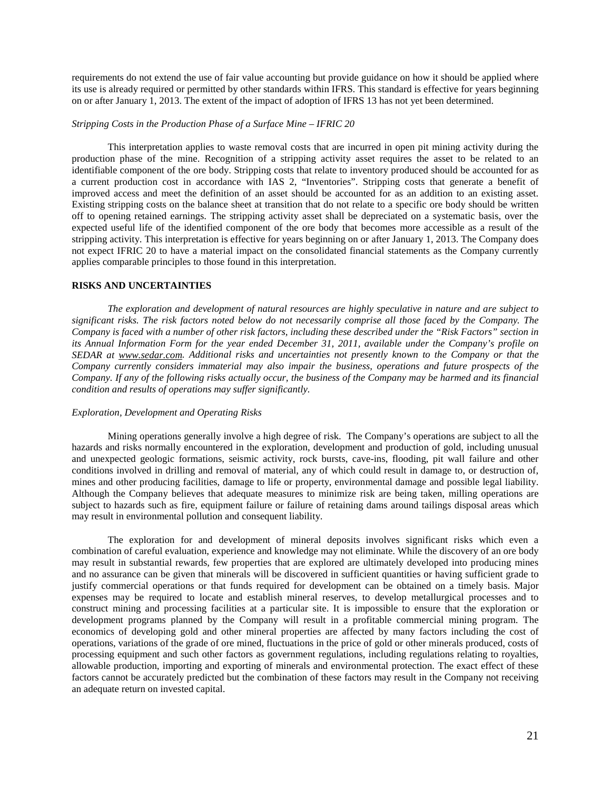requirements do not extend the use of fair value accounting but provide guidance on how it should be applied where its use is already required or permitted by other standards within IFRS. This standard is effective for years beginning on or after January 1, 2013. The extent of the impact of adoption of IFRS 13 has not yet been determined.

### *Stripping Costs in the Production Phase of a Surface Mine – IFRIC 20*

This interpretation applies to waste removal costs that are incurred in open pit mining activity during the production phase of the mine. Recognition of a stripping activity asset requires the asset to be related to an identifiable component of the ore body. Stripping costs that relate to inventory produced should be accounted for as a current production cost in accordance with IAS 2, "Inventories". Stripping costs that generate a benefit of improved access and meet the definition of an asset should be accounted for as an addition to an existing asset. Existing stripping costs on the balance sheet at transition that do not relate to a specific ore body should be written off to opening retained earnings. The stripping activity asset shall be depreciated on a systematic basis, over the expected useful life of the identified component of the ore body that becomes more accessible as a result of the stripping activity. This interpretation is effective for years beginning on or after January 1, 2013. The Company does not expect IFRIC 20 to have a material impact on the consolidated financial statements as the Company currently applies comparable principles to those found in this interpretation.

### **RISKS AND UNCERTAINTIES**

*The exploration and development of natural resources are highly speculative in nature and are subject to significant risks. The risk factors noted below do not necessarily comprise all those faced by the Company. The Company is faced with a number of other risk factors, including these described under the "Risk Factors" section in its Annual Information Form for the year ended December 31, 2011, available under the Company's profile on SEDAR at [www.sedar.com.](http://www.sedar.com/) Additional risks and uncertainties not presently known to the Company or that the Company currently considers immaterial may also impair the business, operations and future prospects of the Company. If any of the following risks actually occur, the business of the Company may be harmed and its financial condition and results of operations may suffer significantly.* 

## *Exploration, Development and Operating Risks*

Mining operations generally involve a high degree of risk. The Company's operations are subject to all the hazards and risks normally encountered in the exploration, development and production of gold, including unusual and unexpected geologic formations, seismic activity, rock bursts, cave-ins, flooding, pit wall failure and other conditions involved in drilling and removal of material, any of which could result in damage to, or destruction of, mines and other producing facilities, damage to life or property, environmental damage and possible legal liability. Although the Company believes that adequate measures to minimize risk are being taken, milling operations are subject to hazards such as fire, equipment failure or failure of retaining dams around tailings disposal areas which may result in environmental pollution and consequent liability.

The exploration for and development of mineral deposits involves significant risks which even a combination of careful evaluation, experience and knowledge may not eliminate. While the discovery of an ore body may result in substantial rewards, few properties that are explored are ultimately developed into producing mines and no assurance can be given that minerals will be discovered in sufficient quantities or having sufficient grade to justify commercial operations or that funds required for development can be obtained on a timely basis. Major expenses may be required to locate and establish mineral reserves, to develop metallurgical processes and to construct mining and processing facilities at a particular site. It is impossible to ensure that the exploration or development programs planned by the Company will result in a profitable commercial mining program. The economics of developing gold and other mineral properties are affected by many factors including the cost of operations, variations of the grade of ore mined, fluctuations in the price of gold or other minerals produced, costs of processing equipment and such other factors as government regulations, including regulations relating to royalties, allowable production, importing and exporting of minerals and environmental protection. The exact effect of these factors cannot be accurately predicted but the combination of these factors may result in the Company not receiving an adequate return on invested capital.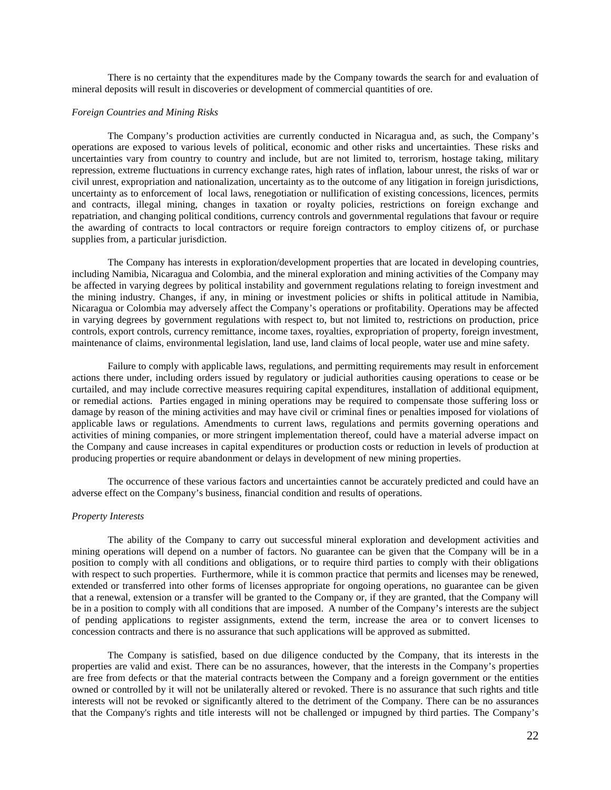There is no certainty that the expenditures made by the Company towards the search for and evaluation of mineral deposits will result in discoveries or development of commercial quantities of ore.

### *Foreign Countries and Mining Risks*

The Company's production activities are currently conducted in Nicaragua and, as such, the Company's operations are exposed to various levels of political, economic and other risks and uncertainties. These risks and uncertainties vary from country to country and include, but are not limited to, terrorism, hostage taking, military repression, extreme fluctuations in currency exchange rates, high rates of inflation, labour unrest, the risks of war or civil unrest, expropriation and nationalization, uncertainty as to the outcome of any litigation in foreign jurisdictions, uncertainty as to enforcement of local laws, renegotiation or nullification of existing concessions, licences, permits and contracts, illegal mining, changes in taxation or royalty policies, restrictions on foreign exchange and repatriation, and changing political conditions, currency controls and governmental regulations that favour or require the awarding of contracts to local contractors or require foreign contractors to employ citizens of, or purchase supplies from, a particular jurisdiction.

The Company has interests in exploration/development properties that are located in developing countries, including Namibia, Nicaragua and Colombia, and the mineral exploration and mining activities of the Company may be affected in varying degrees by political instability and government regulations relating to foreign investment and the mining industry. Changes, if any, in mining or investment policies or shifts in political attitude in Namibia, Nicaragua or Colombia may adversely affect the Company's operations or profitability. Operations may be affected in varying degrees by government regulations with respect to, but not limited to, restrictions on production, price controls, export controls, currency remittance, income taxes, royalties, expropriation of property, foreign investment, maintenance of claims, environmental legislation, land use, land claims of local people, water use and mine safety.

Failure to comply with applicable laws, regulations, and permitting requirements may result in enforcement actions there under, including orders issued by regulatory or judicial authorities causing operations to cease or be curtailed, and may include corrective measures requiring capital expenditures, installation of additional equipment, or remedial actions. Parties engaged in mining operations may be required to compensate those suffering loss or damage by reason of the mining activities and may have civil or criminal fines or penalties imposed for violations of applicable laws or regulations. Amendments to current laws, regulations and permits governing operations and activities of mining companies, or more stringent implementation thereof, could have a material adverse impact on the Company and cause increases in capital expenditures or production costs or reduction in levels of production at producing properties or require abandonment or delays in development of new mining properties.

The occurrence of these various factors and uncertainties cannot be accurately predicted and could have an adverse effect on the Company's business, financial condition and results of operations.

## *Property Interests*

The ability of the Company to carry out successful mineral exploration and development activities and mining operations will depend on a number of factors. No guarantee can be given that the Company will be in a position to comply with all conditions and obligations, or to require third parties to comply with their obligations with respect to such properties. Furthermore, while it is common practice that permits and licenses may be renewed, extended or transferred into other forms of licenses appropriate for ongoing operations, no guarantee can be given that a renewal, extension or a transfer will be granted to the Company or, if they are granted, that the Company will be in a position to comply with all conditions that are imposed. A number of the Company's interests are the subject of pending applications to register assignments, extend the term, increase the area or to convert licenses to concession contracts and there is no assurance that such applications will be approved as submitted.

The Company is satisfied, based on due diligence conducted by the Company, that its interests in the properties are valid and exist. There can be no assurances, however, that the interests in the Company's properties are free from defects or that the material contracts between the Company and a foreign government or the entities owned or controlled by it will not be unilaterally altered or revoked. There is no assurance that such rights and title interests will not be revoked or significantly altered to the detriment of the Company. There can be no assurances that the Company's rights and title interests will not be challenged or impugned by third parties. The Company's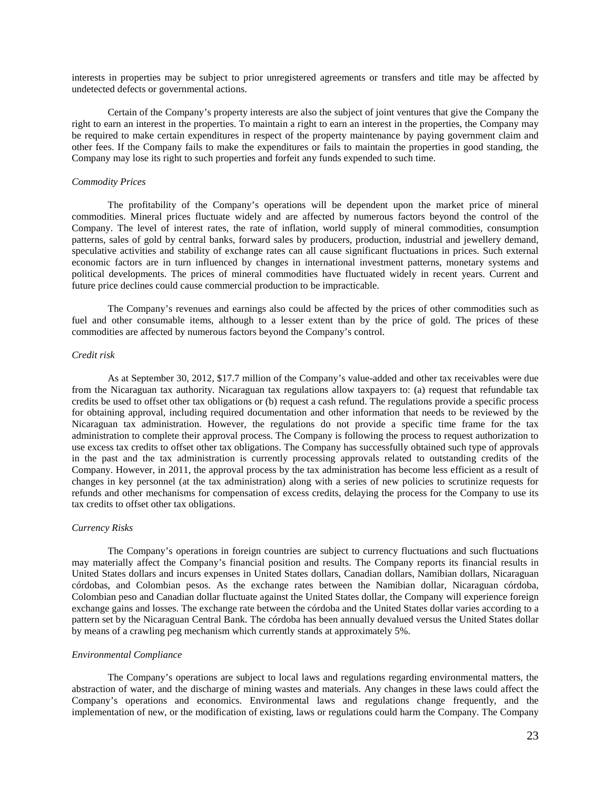interests in properties may be subject to prior unregistered agreements or transfers and title may be affected by undetected defects or governmental actions.

Certain of the Company's property interests are also the subject of joint ventures that give the Company the right to earn an interest in the properties. To maintain a right to earn an interest in the properties, the Company may be required to make certain expenditures in respect of the property maintenance by paying government claim and other fees. If the Company fails to make the expenditures or fails to maintain the properties in good standing, the Company may lose its right to such properties and forfeit any funds expended to such time.

### *Commodity Prices*

The profitability of the Company's operations will be dependent upon the market price of mineral commodities. Mineral prices fluctuate widely and are affected by numerous factors beyond the control of the Company. The level of interest rates, the rate of inflation, world supply of mineral commodities, consumption patterns, sales of gold by central banks, forward sales by producers, production, industrial and jewellery demand, speculative activities and stability of exchange rates can all cause significant fluctuations in prices. Such external economic factors are in turn influenced by changes in international investment patterns, monetary systems and political developments. The prices of mineral commodities have fluctuated widely in recent years. Current and future price declines could cause commercial production to be impracticable.

The Company's revenues and earnings also could be affected by the prices of other commodities such as fuel and other consumable items, although to a lesser extent than by the price of gold. The prices of these commodities are affected by numerous factors beyond the Company's control.

#### *Credit risk*

As at September 30, 2012, \$17.7 million of the Company's value-added and other tax receivables were due from the Nicaraguan tax authority. Nicaraguan tax regulations allow taxpayers to: (a) request that refundable tax credits be used to offset other tax obligations or (b) request a cash refund. The regulations provide a specific process for obtaining approval, including required documentation and other information that needs to be reviewed by the Nicaraguan tax administration. However, the regulations do not provide a specific time frame for the tax administration to complete their approval process. The Company is following the process to request authorization to use excess tax credits to offset other tax obligations. The Company has successfully obtained such type of approvals in the past and the tax administration is currently processing approvals related to outstanding credits of the Company. However, in 2011, the approval process by the tax administration has become less efficient as a result of changes in key personnel (at the tax administration) along with a series of new policies to scrutinize requests for refunds and other mechanisms for compensation of excess credits, delaying the process for the Company to use its tax credits to offset other tax obligations.

## *Currency Risks*

The Company's operations in foreign countries are subject to currency fluctuations and such fluctuations may materially affect the Company's financial position and results. The Company reports its financial results in United States dollars and incurs expenses in United States dollars, Canadian dollars, Namibian dollars, Nicaraguan córdobas, and Colombian pesos. As the exchange rates between the Namibian dollar, Nicaraguan córdoba, Colombian peso and Canadian dollar fluctuate against the United States dollar, the Company will experience foreign exchange gains and losses. The exchange rate between the córdoba and the United States dollar varies according to a pattern set by the Nicaraguan Central Bank. The córdoba has been annually devalued versus the United States dollar by means of a crawling peg mechanism which currently stands at approximately 5%.

### *Environmental Compliance*

The Company's operations are subject to local laws and regulations regarding environmental matters, the abstraction of water, and the discharge of mining wastes and materials. Any changes in these laws could affect the Company's operations and economics. Environmental laws and regulations change frequently, and the implementation of new, or the modification of existing, laws or regulations could harm the Company. The Company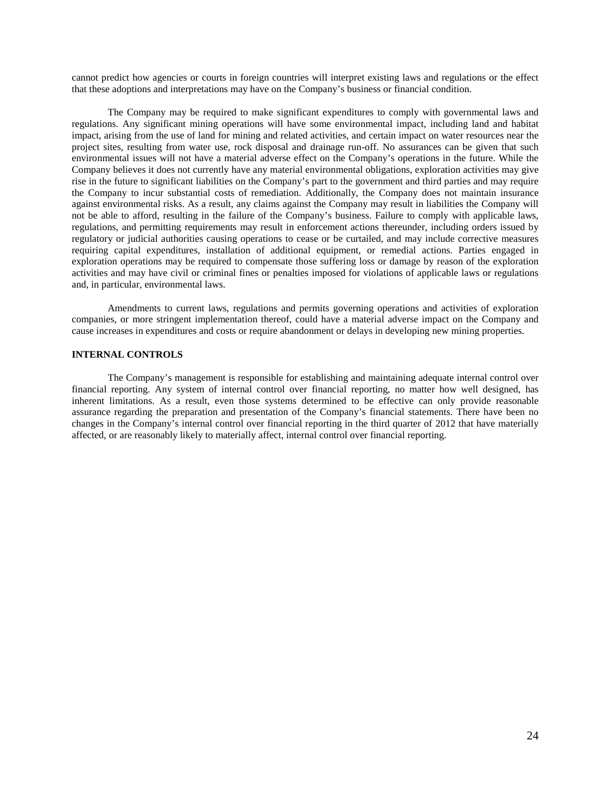cannot predict how agencies or courts in foreign countries will interpret existing laws and regulations or the effect that these adoptions and interpretations may have on the Company's business or financial condition.

The Company may be required to make significant expenditures to comply with governmental laws and regulations. Any significant mining operations will have some environmental impact, including land and habitat impact, arising from the use of land for mining and related activities, and certain impact on water resources near the project sites, resulting from water use, rock disposal and drainage run-off. No assurances can be given that such environmental issues will not have a material adverse effect on the Company's operations in the future. While the Company believes it does not currently have any material environmental obligations, exploration activities may give rise in the future to significant liabilities on the Company's part to the government and third parties and may require the Company to incur substantial costs of remediation. Additionally, the Company does not maintain insurance against environmental risks. As a result, any claims against the Company may result in liabilities the Company will not be able to afford, resulting in the failure of the Company's business. Failure to comply with applicable laws, regulations, and permitting requirements may result in enforcement actions thereunder, including orders issued by regulatory or judicial authorities causing operations to cease or be curtailed, and may include corrective measures requiring capital expenditures, installation of additional equipment, or remedial actions. Parties engaged in exploration operations may be required to compensate those suffering loss or damage by reason of the exploration activities and may have civil or criminal fines or penalties imposed for violations of applicable laws or regulations and, in particular, environmental laws.

Amendments to current laws, regulations and permits governing operations and activities of exploration companies, or more stringent implementation thereof, could have a material adverse impact on the Company and cause increases in expenditures and costs or require abandonment or delays in developing new mining properties.

## **INTERNAL CONTROLS**

The Company's management is responsible for establishing and maintaining adequate internal control over financial reporting. Any system of internal control over financial reporting, no matter how well designed, has inherent limitations. As a result, even those systems determined to be effective can only provide reasonable assurance regarding the preparation and presentation of the Company's financial statements. There have been no changes in the Company's internal control over financial reporting in the third quarter of 2012 that have materially affected, or are reasonably likely to materially affect, internal control over financial reporting.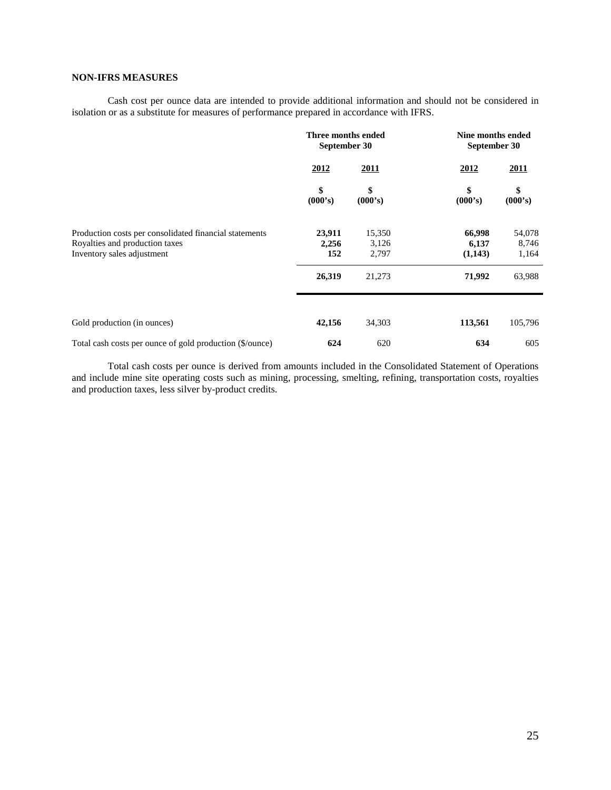# **NON-IFRS MEASURES**

Cash cost per ounce data are intended to provide additional information and should not be considered in isolation or as a substitute for measures of performance prepared in accordance with IFRS.

|                                                                                                                        | Three months ended<br>September 30 |                          | Nine months ended<br>September 30 |                          |  |
|------------------------------------------------------------------------------------------------------------------------|------------------------------------|--------------------------|-----------------------------------|--------------------------|--|
|                                                                                                                        | 2012                               | 2011                     | 2012                              | <b>2011</b>              |  |
|                                                                                                                        | \$<br>(000's)                      | \$<br>(000's)            | \$<br>(000's)                     | \$<br>(000's)            |  |
| Production costs per consolidated financial statements<br>Royalties and production taxes<br>Inventory sales adjustment | 23,911<br>2,256<br>152             | 15,350<br>3,126<br>2,797 | 66,998<br>6,137<br>(1,143)        | 54,078<br>8,746<br>1,164 |  |
|                                                                                                                        | 26,319                             | 21,273                   | 71,992                            | 63,988                   |  |
| Gold production (in ounces)                                                                                            | 42,156                             | 34,303                   | 113,561                           | 105,796                  |  |
| Total cash costs per ounce of gold production (\$/ounce)                                                               | 624                                | 620                      | 634                               | 605                      |  |

Total cash costs per ounce is derived from amounts included in the Consolidated Statement of Operations and include mine site operating costs such as mining, processing, smelting, refining, transportation costs, royalties and production taxes, less silver by-product credits.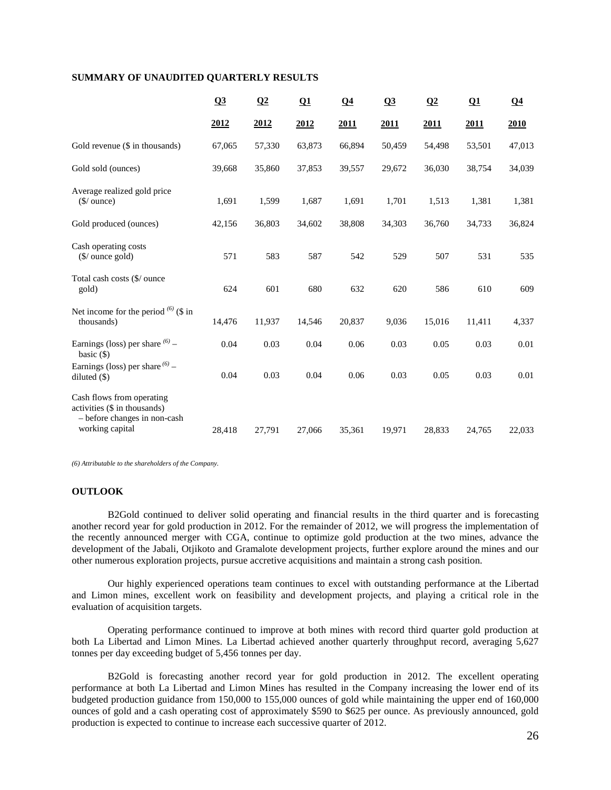## **SUMMARY OF UNAUDITED QUARTERLY RESULTS**

|                                                                                                              | Q3     | $\Omega$ | $\Omega$ | $\Omega$ 4 | Q <sub>3</sub> | $\Omega$ | $\Omega$ 1 | Q <sub>4</sub> |
|--------------------------------------------------------------------------------------------------------------|--------|----------|----------|------------|----------------|----------|------------|----------------|
|                                                                                                              | 2012   | 2012     | 2012     | 2011       | 2011           | 2011     | 2011       | 2010           |
| Gold revenue (\$ in thousands)                                                                               | 67,065 | 57,330   | 63,873   | 66,894     | 50,459         | 54,498   | 53,501     | 47,013         |
| Gold sold (ounces)                                                                                           | 39,668 | 35,860   | 37,853   | 39,557     | 29,672         | 36,030   | 38,754     | 34,039         |
| Average realized gold price<br>$(\frac{\mathcal{S}}{\omega})$ ounce)                                         | 1,691  | 1,599    | 1,687    | 1,691      | 1,701          | 1,513    | 1,381      | 1,381          |
| Gold produced (ounces)                                                                                       | 42,156 | 36,803   | 34,602   | 38,808     | 34,303         | 36,760   | 34,733     | 36,824         |
| Cash operating costs<br>$(\frac{\sqrt{2}}{2})$ ounce gold)                                                   | 571    | 583      | 587      | 542        | 529            | 507      | 531        | 535            |
| Total cash costs (\$/ ounce<br>gold)                                                                         | 624    | 601      | 680      | 632        | 620            | 586      | 610        | 609            |
| Net income for the period $^{(6)}$ (\$ in<br>thousands)                                                      | 14,476 | 11,937   | 14,546   | 20,837     | 9,036          | 15,016   | 11,411     | 4,337          |
| Earnings (loss) per share $^{(6)}$ –<br>basic $($ )                                                          | 0.04   | 0.03     | 0.04     | 0.06       | 0.03           | 0.05     | 0.03       | 0.01           |
| Earnings (loss) per share $^{(6)}$ –<br>diluted $(\$)$                                                       | 0.04   | 0.03     | 0.04     | 0.06       | 0.03           | 0.05     | 0.03       | 0.01           |
| Cash flows from operating<br>activities (\$ in thousands)<br>- before changes in non-cash<br>working capital | 28,418 | 27,791   | 27,066   | 35,361     | 19,971         | 28,833   | 24,765     | 22,033         |

*(6) Attributable to the shareholders of the Company.* 

# **OUTLOOK**

B2Gold continued to deliver solid operating and financial results in the third quarter and is forecasting another record year for gold production in 2012. For the remainder of 2012, we will progress the implementation of the recently announced merger with CGA, continue to optimize gold production at the two mines, advance the development of the Jabali, Otjikoto and Gramalote development projects, further explore around the mines and our other numerous exploration projects, pursue accretive acquisitions and maintain a strong cash position.

Our highly experienced operations team continues to excel with outstanding performance at the Libertad and Limon mines, excellent work on feasibility and development projects, and playing a critical role in the evaluation of acquisition targets.

Operating performance continued to improve at both mines with record third quarter gold production at both La Libertad and Limon Mines. La Libertad achieved another quarterly throughput record, averaging 5,627 tonnes per day exceeding budget of 5,456 tonnes per day.

B2Gold is forecasting another record year for gold production in 2012. The excellent operating performance at both La Libertad and Limon Mines has resulted in the Company increasing the lower end of its budgeted production guidance from 150,000 to 155,000 ounces of gold while maintaining the upper end of 160,000 ounces of gold and a cash operating cost of approximately \$590 to \$625 per ounce. As previously announced, gold production is expected to continue to increase each successive quarter of 2012.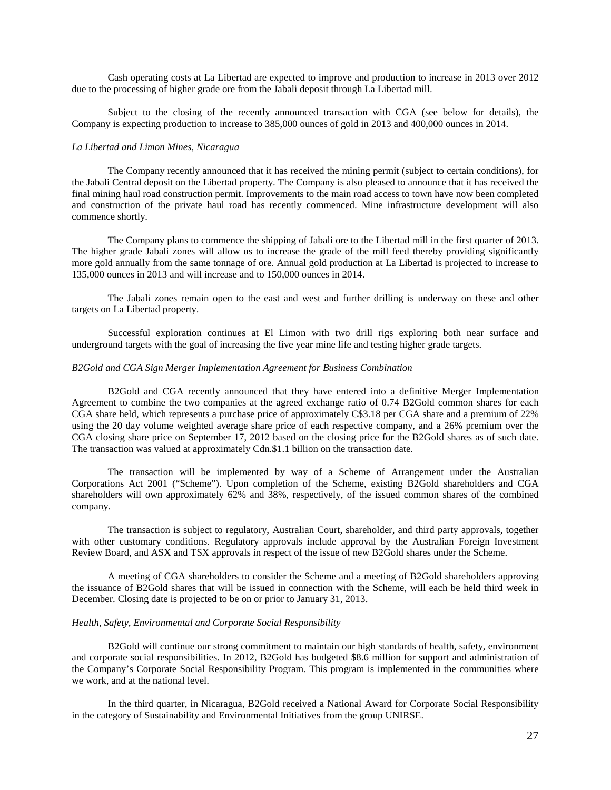Cash operating costs at La Libertad are expected to improve and production to increase in 2013 over 2012 due to the processing of higher grade ore from the Jabali deposit through La Libertad mill.

Subject to the closing of the recently announced transaction with CGA (see below for details), the Company is expecting production to increase to 385,000 ounces of gold in 2013 and 400,000 ounces in 2014.

#### *La Libertad and Limon Mines, Nicaragua*

The Company recently announced that it has received the mining permit (subject to certain conditions), for the Jabali Central deposit on the Libertad property. The Company is also pleased to announce that it has received the final mining haul road construction permit. Improvements to the main road access to town have now been completed and construction of the private haul road has recently commenced. Mine infrastructure development will also commence shortly.

The Company plans to commence the shipping of Jabali ore to the Libertad mill in the first quarter of 2013. The higher grade Jabali zones will allow us to increase the grade of the mill feed thereby providing significantly more gold annually from the same tonnage of ore. Annual gold production at La Libertad is projected to increase to 135,000 ounces in 2013 and will increase and to 150,000 ounces in 2014.

The Jabali zones remain open to the east and west and further drilling is underway on these and other targets on La Libertad property.

Successful exploration continues at El Limon with two drill rigs exploring both near surface and underground targets with the goal of increasing the five year mine life and testing higher grade targets.

#### *B2Gold and CGA Sign Merger Implementation Agreement for Business Combination*

B2Gold and CGA recently announced that they have entered into a definitive Merger Implementation Agreement to combine the two companies at the agreed exchange ratio of 0.74 B2Gold common shares for each CGA share held, which represents a purchase price of approximately C\$3.18 per CGA share and a premium of 22% using the 20 day volume weighted average share price of each respective company, and a 26% premium over the CGA closing share price on September 17, 2012 based on the closing price for the B2Gold shares as of such date. The transaction was valued at approximately Cdn.\$1.1 billion on the transaction date.

The transaction will be implemented by way of a Scheme of Arrangement under the Australian Corporations Act 2001 ("Scheme"). Upon completion of the Scheme, existing B2Gold shareholders and CGA shareholders will own approximately 62% and 38%, respectively, of the issued common shares of the combined company.

The transaction is subject to regulatory, Australian Court, shareholder, and third party approvals, together with other customary conditions. Regulatory approvals include approval by the Australian Foreign Investment Review Board, and ASX and TSX approvals in respect of the issue of new B2Gold shares under the Scheme.

A meeting of CGA shareholders to consider the Scheme and a meeting of B2Gold shareholders approving the issuance of B2Gold shares that will be issued in connection with the Scheme, will each be held third week in December. Closing date is projected to be on or prior to January 31, 2013.

#### *Health, Safety, Environmental and Corporate Social Responsibility*

B2Gold will continue our strong commitment to maintain our high standards of health, safety, environment and corporate social responsibilities. In 2012, B2Gold has budgeted \$8.6 million for support and administration of the Company's Corporate Social Responsibility Program. This program is implemented in the communities where we work, and at the national level.

In the third quarter, in Nicaragua, B2Gold received a National Award for Corporate Social Responsibility in the category of Sustainability and Environmental Initiatives from the group UNIRSE.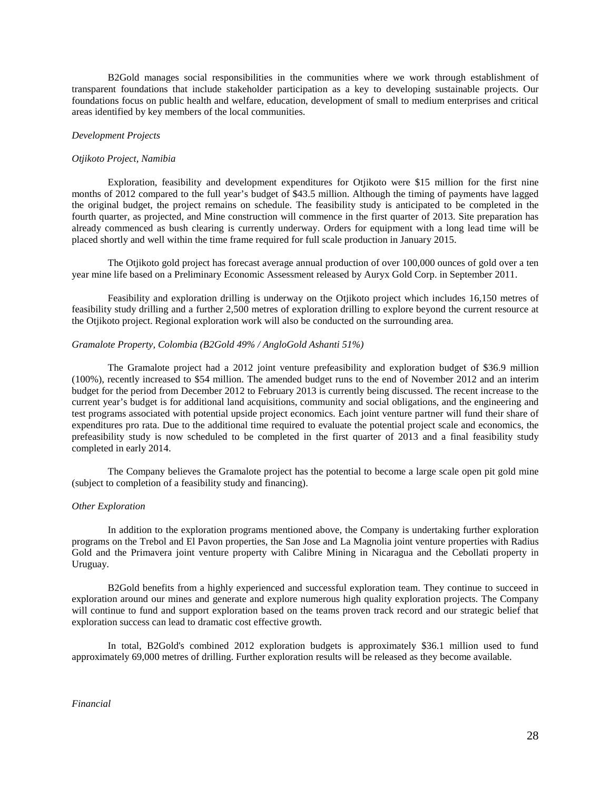B2Gold manages social responsibilities in the communities where we work through establishment of transparent foundations that include stakeholder participation as a key to developing sustainable projects. Our foundations focus on public health and welfare, education, development of small to medium enterprises and critical areas identified by key members of the local communities.

### *Development Projects*

### *Otjikoto Project, Namibia*

Exploration, feasibility and development expenditures for Otjikoto were \$15 million for the first nine months of 2012 compared to the full year's budget of \$43.5 million. Although the timing of payments have lagged the original budget, the project remains on schedule. The feasibility study is anticipated to be completed in the fourth quarter, as projected, and Mine construction will commence in the first quarter of 2013. Site preparation has already commenced as bush clearing is currently underway. Orders for equipment with a long lead time will be placed shortly and well within the time frame required for full scale production in January 2015.

The Otjikoto gold project has forecast average annual production of over 100,000 ounces of gold over a ten year mine life based on a Preliminary Economic Assessment released by Auryx Gold Corp. in September 2011.

Feasibility and exploration drilling is underway on the Otjikoto project which includes 16,150 metres of feasibility study drilling and a further 2,500 metres of exploration drilling to explore beyond the current resource at the Otjikoto project. Regional exploration work will also be conducted on the surrounding area.

#### *Gramalote Property, Colombia (B2Gold 49% / AngloGold Ashanti 51%)*

The Gramalote project had a 2012 joint venture prefeasibility and exploration budget of \$36.9 million (100%), recently increased to \$54 million. The amended budget runs to the end of November 2012 and an interim budget for the period from December 2012 to February 2013 is currently being discussed. The recent increase to the current year's budget is for additional land acquisitions, community and social obligations, and the engineering and test programs associated with potential upside project economics. Each joint venture partner will fund their share of expenditures pro rata. Due to the additional time required to evaluate the potential project scale and economics, the prefeasibility study is now scheduled to be completed in the first quarter of 2013 and a final feasibility study completed in early 2014.

The Company believes the Gramalote project has the potential to become a large scale open pit gold mine (subject to completion of a feasibility study and financing).

## *Other Exploration*

In addition to the exploration programs mentioned above, the Company is undertaking further exploration programs on the Trebol and El Pavon properties, the San Jose and La Magnolia joint venture properties with Radius Gold and the Primavera joint venture property with Calibre Mining in Nicaragua and the Cebollati property in Uruguay.

B2Gold benefits from a highly experienced and successful exploration team. They continue to succeed in exploration around our mines and generate and explore numerous high quality exploration projects. The Company will continue to fund and support exploration based on the teams proven track record and our strategic belief that exploration success can lead to dramatic cost effective growth.

In total, B2Gold's combined 2012 exploration budgets is approximately \$36.1 million used to fund approximately 69,000 metres of drilling. Further exploration results will be released as they become available.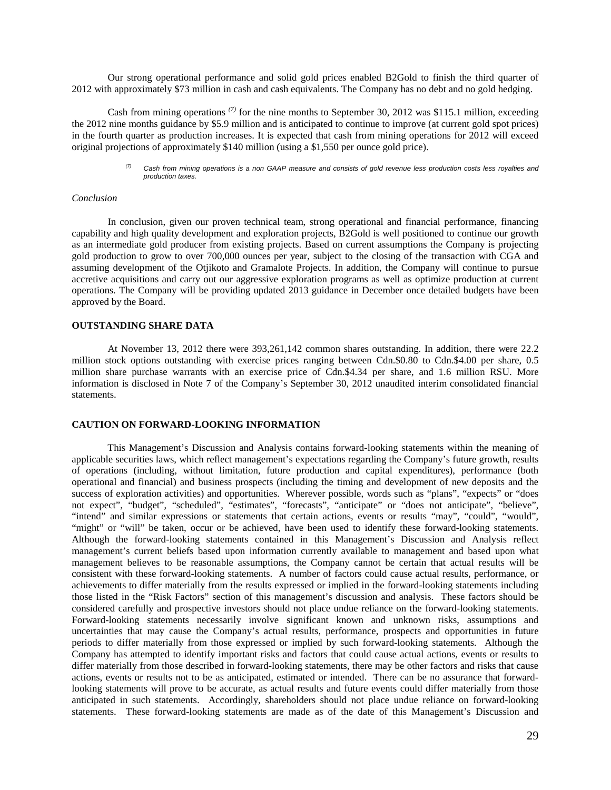Our strong operational performance and solid gold prices enabled B2Gold to finish the third quarter of 2012 with approximately \$73 million in cash and cash equivalents. The Company has no debt and no gold hedging.

Cash from mining operations *(7)* for the nine months to September 30, 2012 was \$115.1 million, exceeding the 2012 nine months guidance by \$5.9 million and is anticipated to continue to improve (at current gold spot prices) in the fourth quarter as production increases. It is expected that cash from mining operations for 2012 will exceed original projections of approximately \$140 million (using a \$1,550 per ounce gold price).

> *(7) Cash from mining operations is a non GAAP measure and consists of gold revenue less production costs less royalties and production taxes.*

## *Conclusion*

In conclusion, given our proven technical team, strong operational and financial performance, financing capability and high quality development and exploration projects, B2Gold is well positioned to continue our growth as an intermediate gold producer from existing projects. Based on current assumptions the Company is projecting gold production to grow to over 700,000 ounces per year, subject to the closing of the transaction with CGA and assuming development of the Otjikoto and Gramalote Projects. In addition, the Company will continue to pursue accretive acquisitions and carry out our aggressive exploration programs as well as optimize production at current operations. The Company will be providing updated 2013 guidance in December once detailed budgets have been approved by the Board.

### **OUTSTANDING SHARE DATA**

At November 13, 2012 there were 393,261,142 common shares outstanding. In addition, there were 22.2 million stock options outstanding with exercise prices ranging between Cdn.\$0.80 to Cdn.\$4.00 per share, 0.5 million share purchase warrants with an exercise price of Cdn.\$4.34 per share, and 1.6 million RSU. More information is disclosed in Note 7 of the Company's September 30, 2012 unaudited interim consolidated financial statements.

### **CAUTION ON FORWARD-LOOKING INFORMATION**

This Management's Discussion and Analysis contains forward-looking statements within the meaning of applicable securities laws, which reflect management's expectations regarding the Company's future growth, results of operations (including, without limitation, future production and capital expenditures), performance (both operational and financial) and business prospects (including the timing and development of new deposits and the success of exploration activities) and opportunities. Wherever possible, words such as "plans", "expects" or "does not expect", "budget", "scheduled", "estimates", "forecasts", "anticipate" or "does not anticipate", "believe", "intend" and similar expressions or statements that certain actions, events or results "may", "could", "would", "might" or "will" be taken, occur or be achieved, have been used to identify these forward-looking statements. Although the forward-looking statements contained in this Management's Discussion and Analysis reflect management's current beliefs based upon information currently available to management and based upon what management believes to be reasonable assumptions, the Company cannot be certain that actual results will be consistent with these forward-looking statements. A number of factors could cause actual results, performance, or achievements to differ materially from the results expressed or implied in the forward-looking statements including those listed in the "Risk Factors" section of this management's discussion and analysis. These factors should be considered carefully and prospective investors should not place undue reliance on the forward-looking statements. Forward-looking statements necessarily involve significant known and unknown risks, assumptions and uncertainties that may cause the Company's actual results, performance, prospects and opportunities in future periods to differ materially from those expressed or implied by such forward-looking statements. Although the Company has attempted to identify important risks and factors that could cause actual actions, events or results to differ materially from those described in forward-looking statements, there may be other factors and risks that cause actions, events or results not to be as anticipated, estimated or intended. There can be no assurance that forwardlooking statements will prove to be accurate, as actual results and future events could differ materially from those anticipated in such statements. Accordingly, shareholders should not place undue reliance on forward-looking statements. These forward-looking statements are made as of the date of this Management's Discussion and